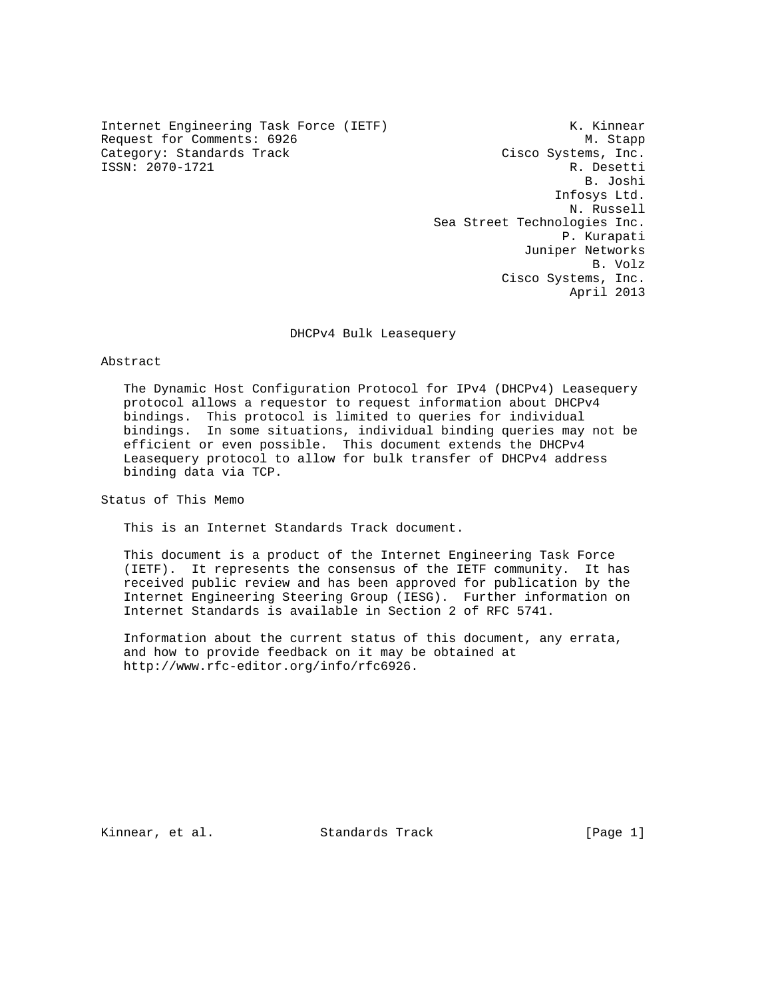Internet Engineering Task Force (IETF) The Manuscript Communist Communist Communist Communist Communist Communist Communist Communist Communist Communist Communist Communist Communist Communist Communist Communist Communis Request for Comments: 6926 M. Stapp Category: Standards Track Cisco Systems, Inc. ISSN: 2070-1721 R. Desetti

 B. Joshi Infosys Ltd. N. Russell Sea Street Technologies Inc. P. Kurapati Juniper Networks B. Volz Cisco Systems, Inc. April 2013

DHCPv4 Bulk Leasequery

#### Abstract

 The Dynamic Host Configuration Protocol for IPv4 (DHCPv4) Leasequery protocol allows a requestor to request information about DHCPv4 bindings. This protocol is limited to queries for individual bindings. In some situations, individual binding queries may not be efficient or even possible. This document extends the DHCPv4 Leasequery protocol to allow for bulk transfer of DHCPv4 address binding data via TCP.

Status of This Memo

This is an Internet Standards Track document.

 This document is a product of the Internet Engineering Task Force (IETF). It represents the consensus of the IETF community. It has received public review and has been approved for publication by the Internet Engineering Steering Group (IESG). Further information on Internet Standards is available in Section 2 of RFC 5741.

 Information about the current status of this document, any errata, and how to provide feedback on it may be obtained at http://www.rfc-editor.org/info/rfc6926.

Kinnear, et al. Standards Track [Page 1]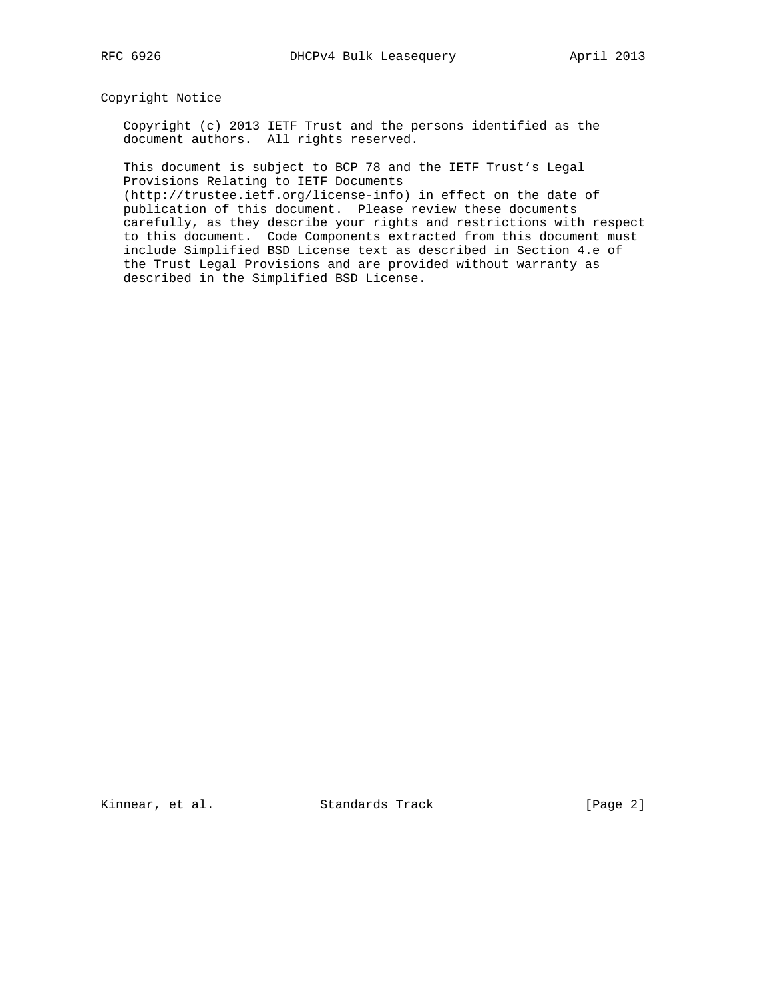Copyright Notice

 Copyright (c) 2013 IETF Trust and the persons identified as the document authors. All rights reserved.

 This document is subject to BCP 78 and the IETF Trust's Legal Provisions Relating to IETF Documents

 (http://trustee.ietf.org/license-info) in effect on the date of publication of this document. Please review these documents carefully, as they describe your rights and restrictions with respect to this document. Code Components extracted from this document must include Simplified BSD License text as described in Section 4.e of the Trust Legal Provisions and are provided without warranty as described in the Simplified BSD License.

Kinnear, et al. Standards Track [Page 2]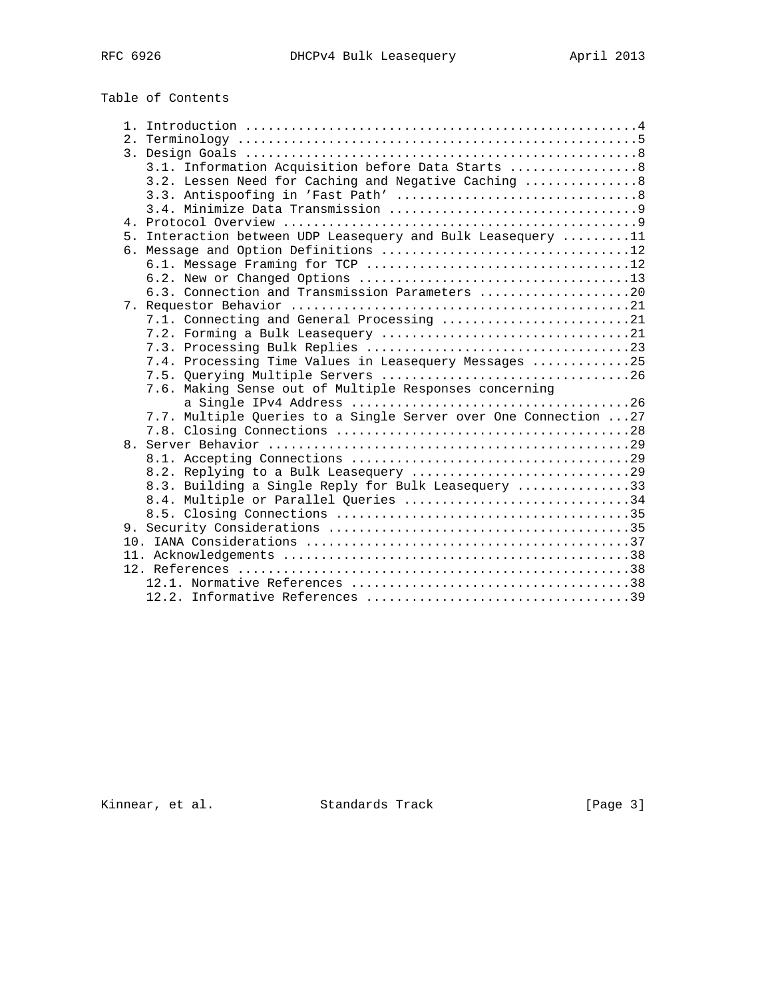# Table of Contents

|  | 3.1. Information Acquisition before Data Starts  8               |
|--|------------------------------------------------------------------|
|  | 3.2. Lessen Need for Caching and Negative Caching  8             |
|  |                                                                  |
|  |                                                                  |
|  |                                                                  |
|  | 5. Interaction between UDP Leasequery and Bulk Leasequery 11     |
|  |                                                                  |
|  |                                                                  |
|  |                                                                  |
|  | 6.3. Connection and Transmission Parameters 20                   |
|  |                                                                  |
|  | 7.1. Connecting and General Processing 21                        |
|  |                                                                  |
|  |                                                                  |
|  | 7.4. Processing Time Values in Leasequery Messages 25            |
|  |                                                                  |
|  | 7.6. Making Sense out of Multiple Responses concerning           |
|  |                                                                  |
|  | 7.7. Multiple Queries to a Single Server over One Connection  27 |
|  |                                                                  |
|  |                                                                  |
|  |                                                                  |
|  |                                                                  |
|  | 8.3. Building a Single Reply for Bulk Leasequery 33              |
|  | 8.4. Multiple or Parallel Queries 34                             |
|  |                                                                  |
|  |                                                                  |
|  |                                                                  |
|  |                                                                  |
|  |                                                                  |
|  |                                                                  |
|  |                                                                  |

Kinnear, et al. Standards Track [Page 3]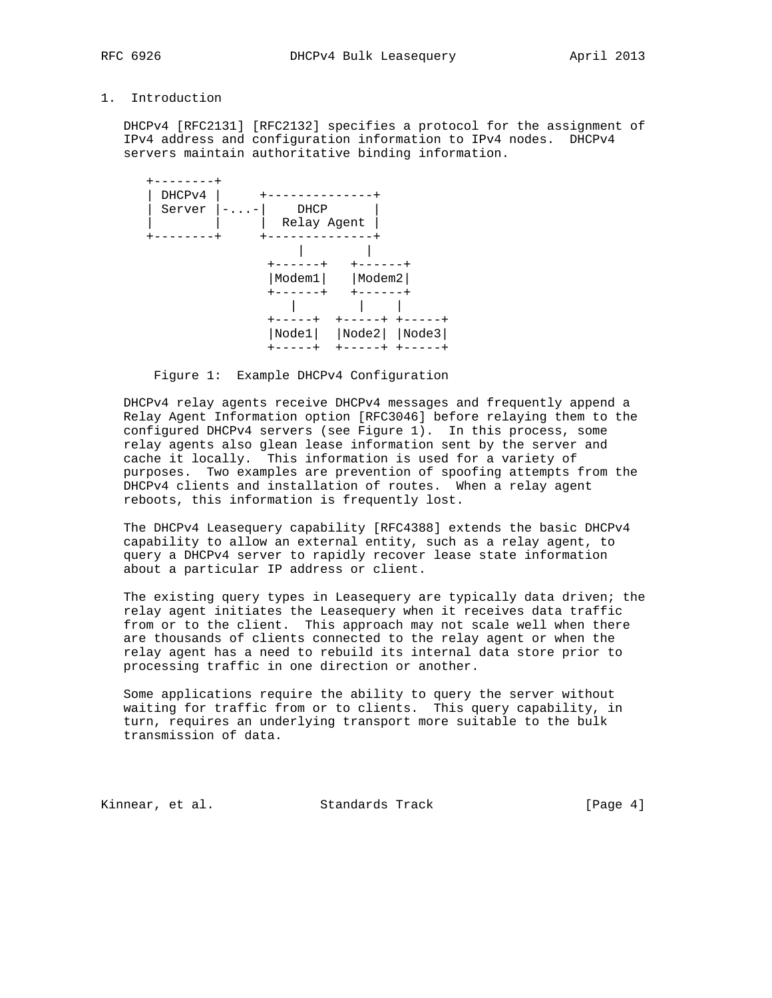## 1. Introduction

 DHCPv4 [RFC2131] [RFC2132] specifies a protocol for the assignment of IPv4 address and configuration information to IPv4 nodes. DHCPv4 servers maintain authoritative binding information.



Figure 1: Example DHCPv4 Configuration

 DHCPv4 relay agents receive DHCPv4 messages and frequently append a Relay Agent Information option [RFC3046] before relaying them to the configured DHCPv4 servers (see Figure 1). In this process, some relay agents also glean lease information sent by the server and cache it locally. This information is used for a variety of purposes. Two examples are prevention of spoofing attempts from the DHCPv4 clients and installation of routes. When a relay agent reboots, this information is frequently lost.

 The DHCPv4 Leasequery capability [RFC4388] extends the basic DHCPv4 capability to allow an external entity, such as a relay agent, to query a DHCPv4 server to rapidly recover lease state information about a particular IP address or client.

 The existing query types in Leasequery are typically data driven; the relay agent initiates the Leasequery when it receives data traffic from or to the client. This approach may not scale well when there are thousands of clients connected to the relay agent or when the relay agent has a need to rebuild its internal data store prior to processing traffic in one direction or another.

 Some applications require the ability to query the server without waiting for traffic from or to clients. This query capability, in turn, requires an underlying transport more suitable to the bulk transmission of data.

Kinnear, et al. Standards Track [Page 4]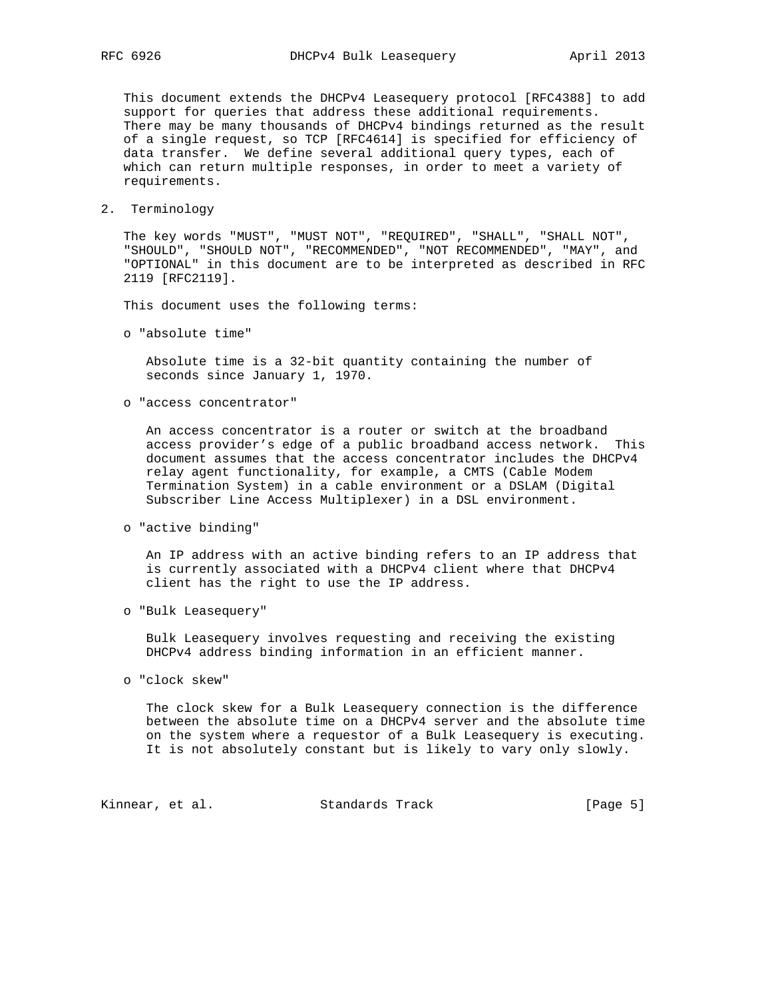This document extends the DHCPv4 Leasequery protocol [RFC4388] to add support for queries that address these additional requirements. There may be many thousands of DHCPv4 bindings returned as the result of a single request, so TCP [RFC4614] is specified for efficiency of data transfer. We define several additional query types, each of which can return multiple responses, in order to meet a variety of requirements.

2. Terminology

 The key words "MUST", "MUST NOT", "REQUIRED", "SHALL", "SHALL NOT", "SHOULD", "SHOULD NOT", "RECOMMENDED", "NOT RECOMMENDED", "MAY", and "OPTIONAL" in this document are to be interpreted as described in RFC 2119 [RFC2119].

This document uses the following terms:

o "absolute time"

 Absolute time is a 32-bit quantity containing the number of seconds since January 1, 1970.

o "access concentrator"

 An access concentrator is a router or switch at the broadband access provider's edge of a public broadband access network. This document assumes that the access concentrator includes the DHCPv4 relay agent functionality, for example, a CMTS (Cable Modem Termination System) in a cable environment or a DSLAM (Digital Subscriber Line Access Multiplexer) in a DSL environment.

o "active binding"

 An IP address with an active binding refers to an IP address that is currently associated with a DHCPv4 client where that DHCPv4 client has the right to use the IP address.

o "Bulk Leasequery"

 Bulk Leasequery involves requesting and receiving the existing DHCPv4 address binding information in an efficient manner.

o "clock skew"

 The clock skew for a Bulk Leasequery connection is the difference between the absolute time on a DHCPv4 server and the absolute time on the system where a requestor of a Bulk Leasequery is executing. It is not absolutely constant but is likely to vary only slowly.

Kinnear, et al. Standards Track [Page 5]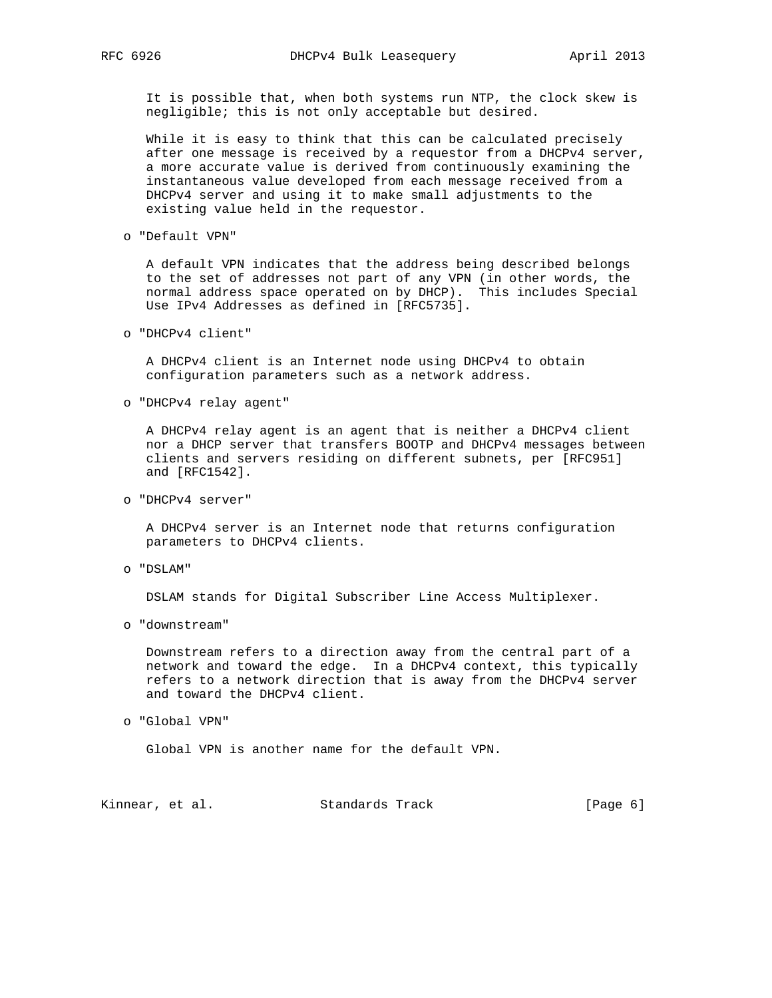It is possible that, when both systems run NTP, the clock skew is negligible; this is not only acceptable but desired.

 While it is easy to think that this can be calculated precisely after one message is received by a requestor from a DHCPv4 server, a more accurate value is derived from continuously examining the instantaneous value developed from each message received from a DHCPv4 server and using it to make small adjustments to the existing value held in the requestor.

o "Default VPN"

 A default VPN indicates that the address being described belongs to the set of addresses not part of any VPN (in other words, the normal address space operated on by DHCP). This includes Special Use IPv4 Addresses as defined in [RFC5735].

o "DHCPv4 client"

 A DHCPv4 client is an Internet node using DHCPv4 to obtain configuration parameters such as a network address.

o "DHCPv4 relay agent"

 A DHCPv4 relay agent is an agent that is neither a DHCPv4 client nor a DHCP server that transfers BOOTP and DHCPv4 messages between clients and servers residing on different subnets, per [RFC951] and [RFC1542].

o "DHCPv4 server"

 A DHCPv4 server is an Internet node that returns configuration parameters to DHCPv4 clients.

o "DSLAM"

DSLAM stands for Digital Subscriber Line Access Multiplexer.

o "downstream"

 Downstream refers to a direction away from the central part of a network and toward the edge. In a DHCPv4 context, this typically refers to a network direction that is away from the DHCPv4 server and toward the DHCPv4 client.

o "Global VPN"

Global VPN is another name for the default VPN.

Kinnear, et al. Standards Track [Page 6]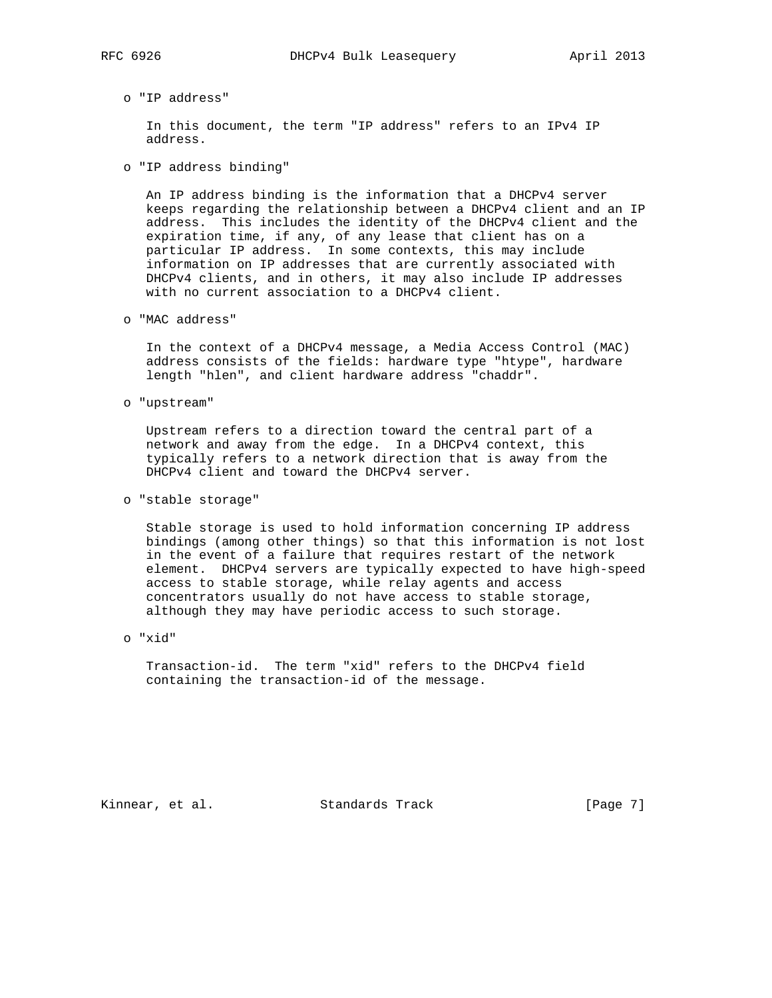In this document, the term "IP address" refers to an IPv4 IP address.

o "IP address binding"

 An IP address binding is the information that a DHCPv4 server keeps regarding the relationship between a DHCPv4 client and an IP address. This includes the identity of the DHCPv4 client and the expiration time, if any, of any lease that client has on a particular IP address. In some contexts, this may include information on IP addresses that are currently associated with DHCPv4 clients, and in others, it may also include IP addresses with no current association to a DHCPv4 client.

o "MAC address"

 In the context of a DHCPv4 message, a Media Access Control (MAC) address consists of the fields: hardware type "htype", hardware length "hlen", and client hardware address "chaddr".

o "upstream"

 Upstream refers to a direction toward the central part of a network and away from the edge. In a DHCPv4 context, this typically refers to a network direction that is away from the DHCPv4 client and toward the DHCPv4 server.

o "stable storage"

 Stable storage is used to hold information concerning IP address bindings (among other things) so that this information is not lost in the event of a failure that requires restart of the network element. DHCPv4 servers are typically expected to have high-speed access to stable storage, while relay agents and access concentrators usually do not have access to stable storage, although they may have periodic access to such storage.

o "xid"

 Transaction-id. The term "xid" refers to the DHCPv4 field containing the transaction-id of the message.

Kinnear, et al. Standards Track [Page 7]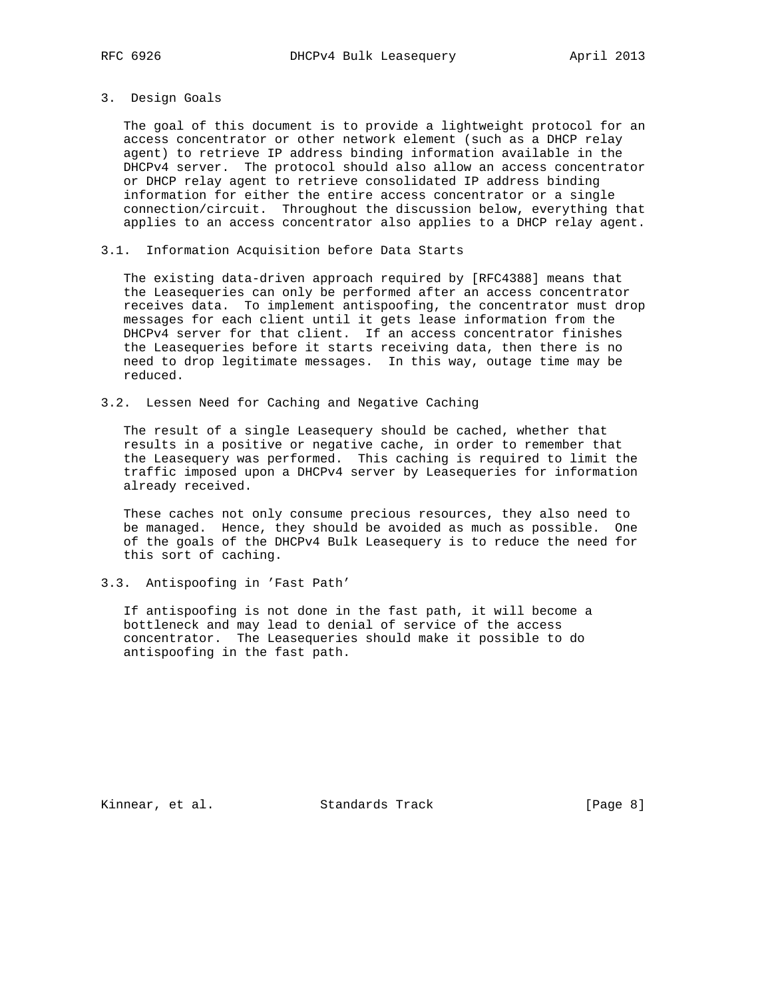#### 3. Design Goals

 The goal of this document is to provide a lightweight protocol for an access concentrator or other network element (such as a DHCP relay agent) to retrieve IP address binding information available in the DHCPv4 server. The protocol should also allow an access concentrator or DHCP relay agent to retrieve consolidated IP address binding information for either the entire access concentrator or a single connection/circuit. Throughout the discussion below, everything that applies to an access concentrator also applies to a DHCP relay agent.

3.1. Information Acquisition before Data Starts

 The existing data-driven approach required by [RFC4388] means that the Leasequeries can only be performed after an access concentrator receives data. To implement antispoofing, the concentrator must drop messages for each client until it gets lease information from the DHCPv4 server for that client. If an access concentrator finishes the Leasequeries before it starts receiving data, then there is no need to drop legitimate messages. In this way, outage time may be reduced.

3.2. Lessen Need for Caching and Negative Caching

 The result of a single Leasequery should be cached, whether that results in a positive or negative cache, in order to remember that the Leasequery was performed. This caching is required to limit the traffic imposed upon a DHCPv4 server by Leasequeries for information already received.

 These caches not only consume precious resources, they also need to be managed. Hence, they should be avoided as much as possible. One of the goals of the DHCPv4 Bulk Leasequery is to reduce the need for this sort of caching.

#### 3.3. Antispoofing in 'Fast Path'

 If antispoofing is not done in the fast path, it will become a bottleneck and may lead to denial of service of the access concentrator. The Leasequeries should make it possible to do antispoofing in the fast path.

Kinnear, et al. Standards Track [Page 8]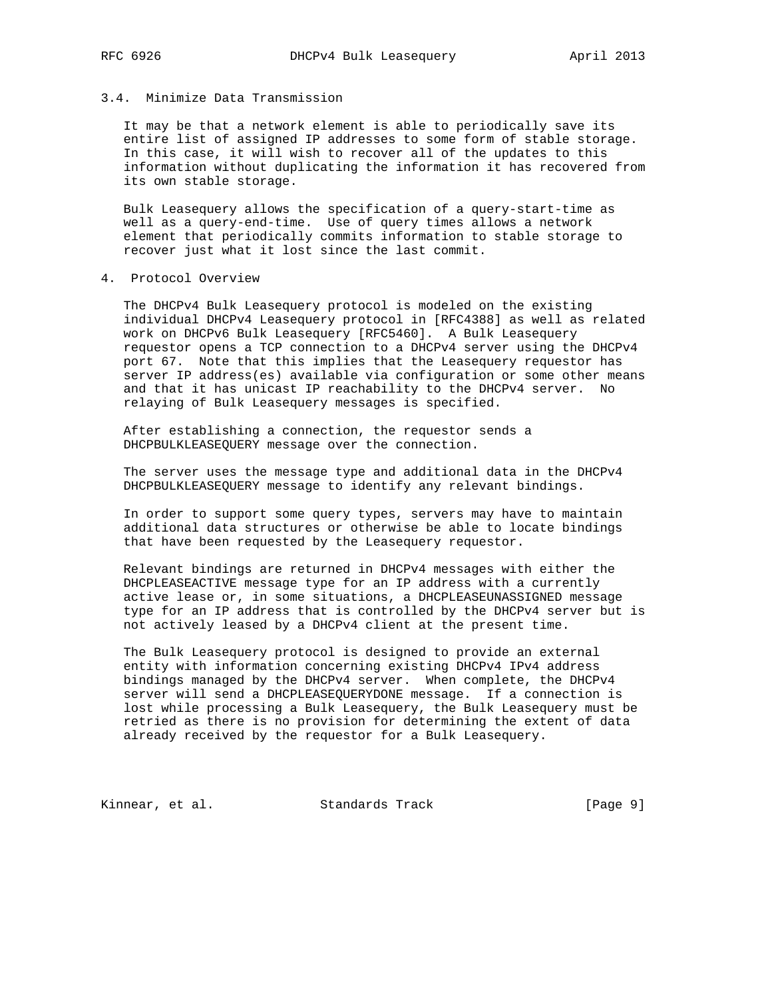## 3.4. Minimize Data Transmission

 It may be that a network element is able to periodically save its entire list of assigned IP addresses to some form of stable storage. In this case, it will wish to recover all of the updates to this information without duplicating the information it has recovered from its own stable storage.

 Bulk Leasequery allows the specification of a query-start-time as well as a query-end-time. Use of query times allows a network element that periodically commits information to stable storage to recover just what it lost since the last commit.

4. Protocol Overview

 The DHCPv4 Bulk Leasequery protocol is modeled on the existing individual DHCPv4 Leasequery protocol in [RFC4388] as well as related work on DHCPv6 Bulk Leasequery [RFC5460]. A Bulk Leasequery requestor opens a TCP connection to a DHCPv4 server using the DHCPv4 port 67. Note that this implies that the Leasequery requestor has server IP address(es) available via configuration or some other means and that it has unicast IP reachability to the DHCPv4 server. No relaying of Bulk Leasequery messages is specified.

 After establishing a connection, the requestor sends a DHCPBULKLEASEQUERY message over the connection.

 The server uses the message type and additional data in the DHCPv4 DHCPBULKLEASEQUERY message to identify any relevant bindings.

 In order to support some query types, servers may have to maintain additional data structures or otherwise be able to locate bindings that have been requested by the Leasequery requestor.

 Relevant bindings are returned in DHCPv4 messages with either the DHCPLEASEACTIVE message type for an IP address with a currently active lease or, in some situations, a DHCPLEASEUNASSIGNED message type for an IP address that is controlled by the DHCPv4 server but is not actively leased by a DHCPv4 client at the present time.

 The Bulk Leasequery protocol is designed to provide an external entity with information concerning existing DHCPv4 IPv4 address bindings managed by the DHCPv4 server. When complete, the DHCPv4 server will send a DHCPLEASEQUERYDONE message. If a connection is lost while processing a Bulk Leasequery, the Bulk Leasequery must be retried as there is no provision for determining the extent of data already received by the requestor for a Bulk Leasequery.

Kinnear, et al. Standards Track [Page 9]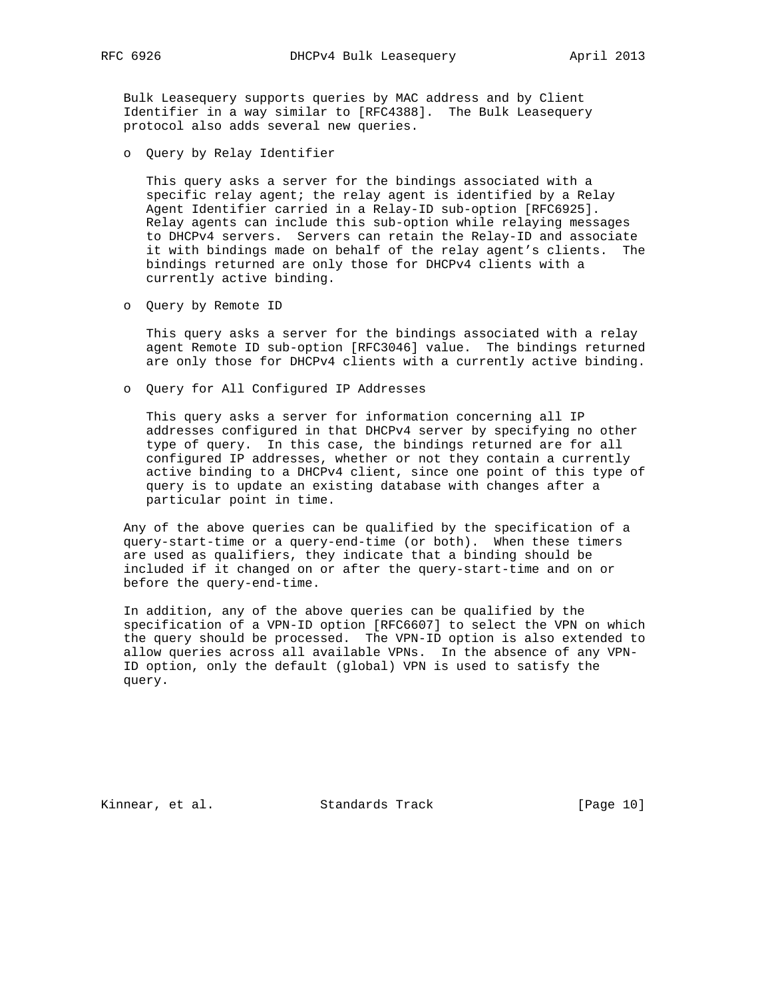Bulk Leasequery supports queries by MAC address and by Client Identifier in a way similar to [RFC4388]. The Bulk Leasequery protocol also adds several new queries.

o Query by Relay Identifier

 This query asks a server for the bindings associated with a specific relay agent; the relay agent is identified by a Relay Agent Identifier carried in a Relay-ID sub-option [RFC6925]. Relay agents can include this sub-option while relaying messages to DHCPv4 servers. Servers can retain the Relay-ID and associate it with bindings made on behalf of the relay agent's clients. The bindings returned are only those for DHCPv4 clients with a currently active binding.

o Query by Remote ID

 This query asks a server for the bindings associated with a relay agent Remote ID sub-option [RFC3046] value. The bindings returned are only those for DHCPv4 clients with a currently active binding.

o Query for All Configured IP Addresses

 This query asks a server for information concerning all IP addresses configured in that DHCPv4 server by specifying no other type of query. In this case, the bindings returned are for all configured IP addresses, whether or not they contain a currently active binding to a DHCPv4 client, since one point of this type of query is to update an existing database with changes after a particular point in time.

 Any of the above queries can be qualified by the specification of a query-start-time or a query-end-time (or both). When these timers are used as qualifiers, they indicate that a binding should be included if it changed on or after the query-start-time and on or before the query-end-time.

 In addition, any of the above queries can be qualified by the specification of a VPN-ID option [RFC6607] to select the VPN on which the query should be processed. The VPN-ID option is also extended to allow queries across all available VPNs. In the absence of any VPN- ID option, only the default (global) VPN is used to satisfy the query.

Kinnear, et al. Standards Track [Page 10]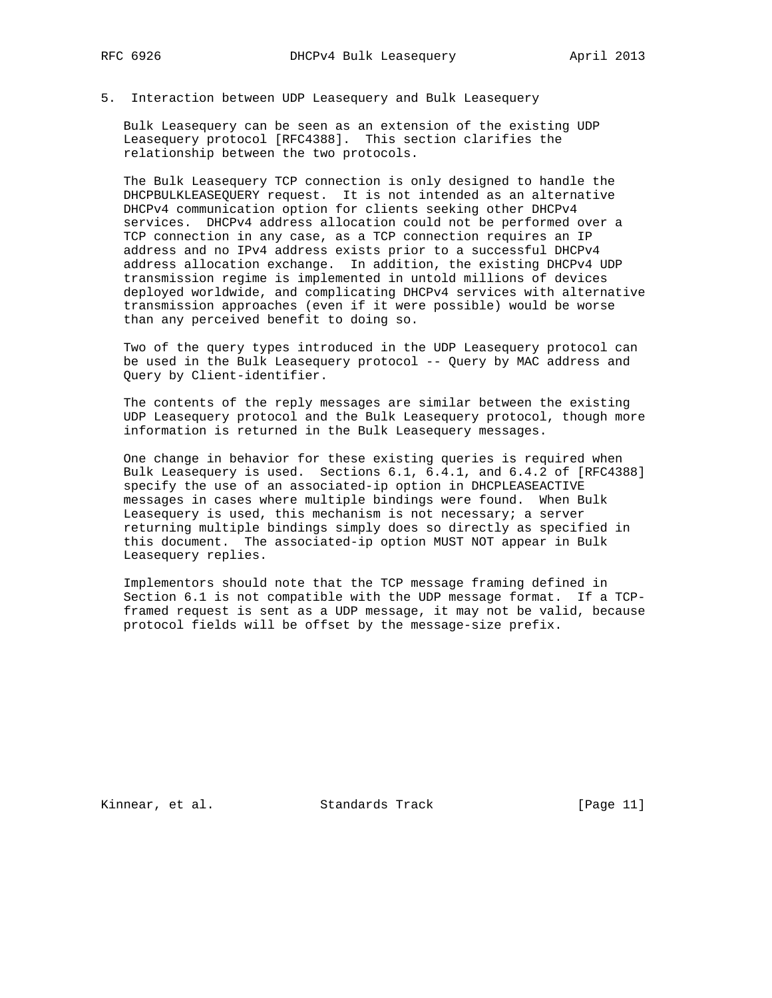## 5. Interaction between UDP Leasequery and Bulk Leasequery

 Bulk Leasequery can be seen as an extension of the existing UDP Leasequery protocol [RFC4388]. This section clarifies the relationship between the two protocols.

 The Bulk Leasequery TCP connection is only designed to handle the DHCPBULKLEASEQUERY request. It is not intended as an alternative DHCPv4 communication option for clients seeking other DHCPv4 services. DHCPv4 address allocation could not be performed over a TCP connection in any case, as a TCP connection requires an IP address and no IPv4 address exists prior to a successful DHCPv4 address allocation exchange. In addition, the existing DHCPv4 UDP transmission regime is implemented in untold millions of devices deployed worldwide, and complicating DHCPv4 services with alternative transmission approaches (even if it were possible) would be worse than any perceived benefit to doing so.

 Two of the query types introduced in the UDP Leasequery protocol can be used in the Bulk Leasequery protocol -- Query by MAC address and Query by Client-identifier.

 The contents of the reply messages are similar between the existing UDP Leasequery protocol and the Bulk Leasequery protocol, though more information is returned in the Bulk Leasequery messages.

 One change in behavior for these existing queries is required when Bulk Leasequery is used. Sections 6.1, 6.4.1, and 6.4.2 of [RFC4388] specify the use of an associated-ip option in DHCPLEASEACTIVE messages in cases where multiple bindings were found. When Bulk Leasequery is used, this mechanism is not necessary; a server returning multiple bindings simply does so directly as specified in this document. The associated-ip option MUST NOT appear in Bulk Leasequery replies.

 Implementors should note that the TCP message framing defined in Section 6.1 is not compatible with the UDP message format. If a TCP framed request is sent as a UDP message, it may not be valid, because protocol fields will be offset by the message-size prefix.

Kinnear, et al. Standards Track [Page 11]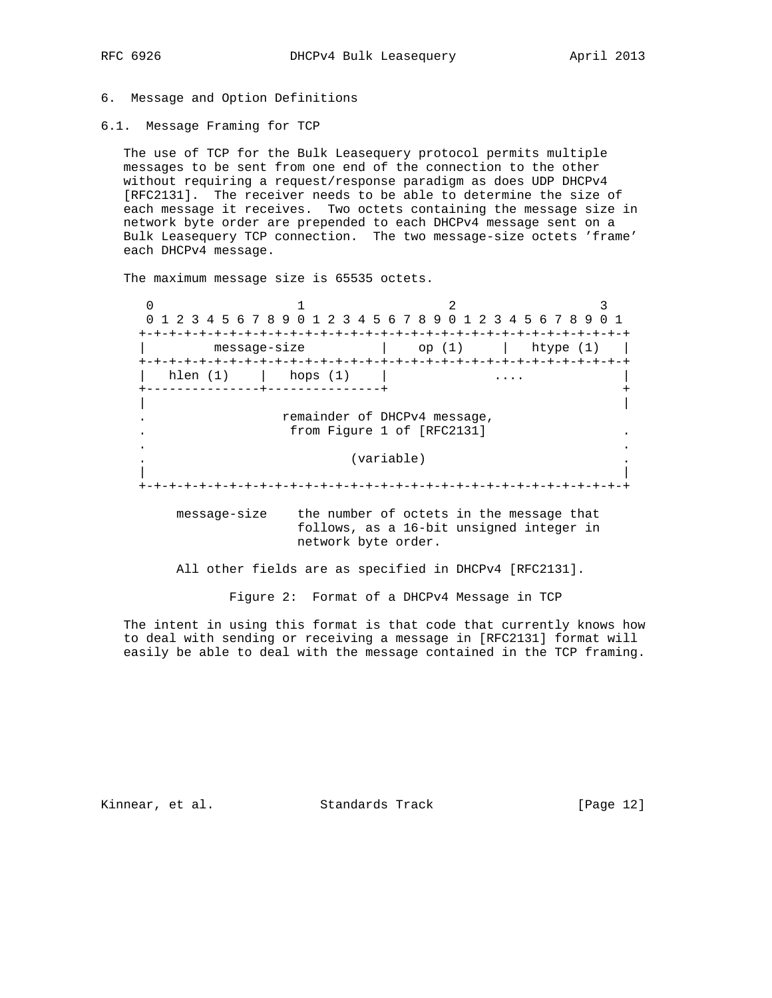## 6. Message and Option Definitions

6.1. Message Framing for TCP

 The use of TCP for the Bulk Leasequery protocol permits multiple messages to be sent from one end of the connection to the other without requiring a request/response paradigm as does UDP DHCPv4 [RFC2131]. The receiver needs to be able to determine the size of each message it receives. Two octets containing the message size in network byte order are prepended to each DHCPv4 message sent on a Bulk Leasequery TCP connection. The two message-size octets 'frame' each DHCPv4 message.

The maximum message size is 65535 octets.

 $0$  and  $1$  and  $2$  3 0 1 2 3 4 5 6 7 8 9 0 1 2 3 4 5 6 7 8 9 0 1 2 3 4 5 6 7 8 9 0 1 +-+-+-+-+-+-+-+-+-+-+-+-+-+-+-+-+-+-+-+-+-+-+-+-+-+-+-+-+-+-+-+-+ | message-size | op (1) | htype (1) | +-+-+-+-+-+-+-+-+-+-+-+-+-+-+-+-+-+-+-+-+-+-+-+-+-+-+-+-+-+-+-+-+ | hlen (1) | hops (1) | .... | +---------------+---------------+ + | | . remainder of DHCPv4 message, . from Figure 1 of [RFC2131] . . . . (variable) . | | +-+-+-+-+-+-+-+-+-+-+-+-+-+-+-+-+-+-+-+-+-+-+-+-+-+-+-+-+-+-+-+-+

 message-size the number of octets in the message that follows, as a 16-bit unsigned integer in network byte order.

All other fields are as specified in DHCPv4 [RFC2131].

Figure 2: Format of a DHCPv4 Message in TCP

 The intent in using this format is that code that currently knows how to deal with sending or receiving a message in [RFC2131] format will easily be able to deal with the message contained in the TCP framing.

Kinnear, et al. Standards Track [Page 12]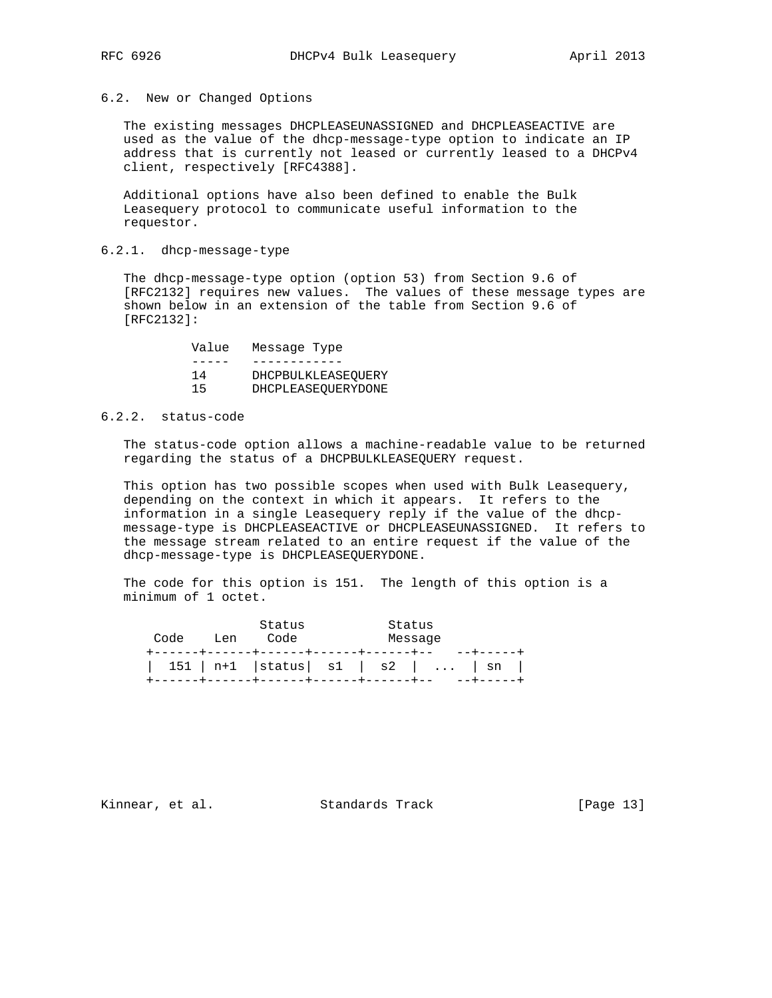## 6.2. New or Changed Options

 The existing messages DHCPLEASEUNASSIGNED and DHCPLEASEACTIVE are used as the value of the dhcp-message-type option to indicate an IP address that is currently not leased or currently leased to a DHCPv4 client, respectively [RFC4388].

 Additional options have also been defined to enable the Bulk Leasequery protocol to communicate useful information to the requestor.

## 6.2.1. dhcp-message-type

 The dhcp-message-type option (option 53) from Section 9.6 of [RFC2132] requires new values. The values of these message types are shown below in an extension of the table from Section 9.6 of [RFC2132]:

|    | Value | Message Type |                    |
|----|-------|--------------|--------------------|
|    |       |              |                    |
| 14 |       |              | DHCPBULKLEASEOUERY |
| 15 |       |              | DHCPLEASEOUERYDONE |

## 6.2.2. status-code

 The status-code option allows a machine-readable value to be returned regarding the status of a DHCPBULKLEASEQUERY request.

 This option has two possible scopes when used with Bulk Leasequery, depending on the context in which it appears. It refers to the information in a single Leasequery reply if the value of the dhcp message-type is DHCPLEASEACTIVE or DHCPLEASEUNASSIGNED. It refers to the message stream related to an entire request if the value of the dhcp-message-type is DHCPLEASEQUERYDONE.

 The code for this option is 151. The length of this option is a minimum of 1 octet.

| Code | Tien | Status<br>Code<br>-------+------+------+------+------+ | Status<br>Message |                                        |
|------|------|--------------------------------------------------------|-------------------|----------------------------------------|
|      |      | ------+------+------+------+-------+                   |                   | $151$   n+1   status   s1   s2      sn |

Kinnear, et al. Standards Track [Page 13]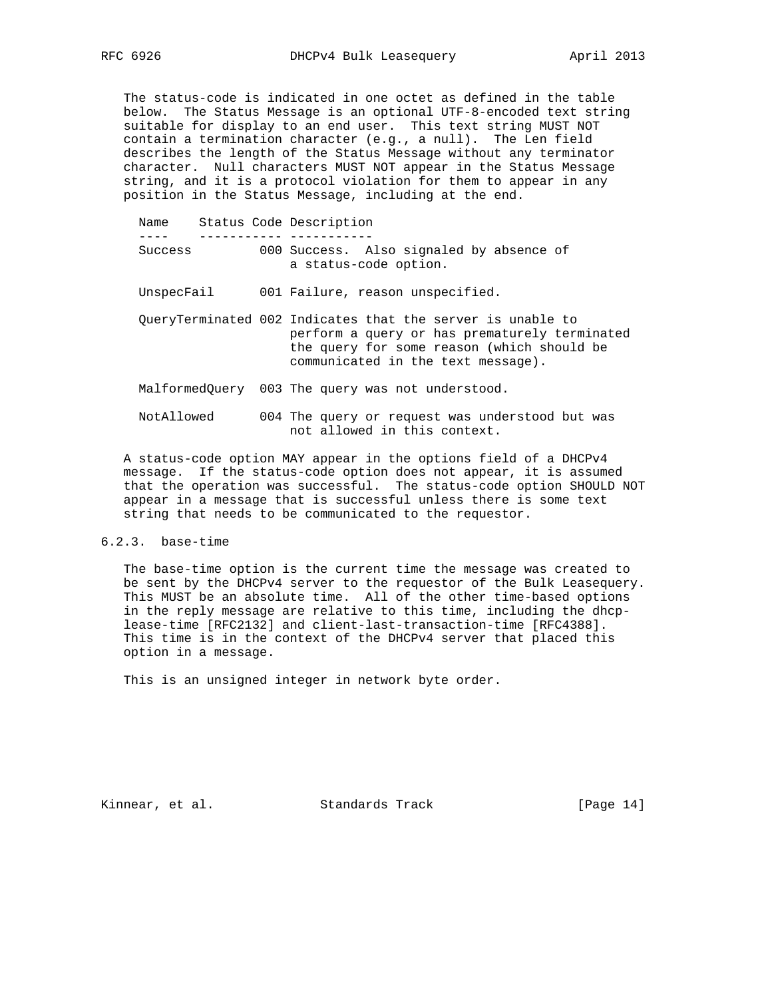The status-code is indicated in one octet as defined in the table below. The Status Message is an optional UTF-8-encoded text string suitable for display to an end user. This text string MUST NOT contain a termination character (e.g., a null). The Len field describes the length of the Status Message without any terminator character. Null characters MUST NOT appear in the Status Message string, and it is a protocol violation for them to appear in any position in the Status Message, including at the end.

| Name       |  | Status Code Description                                                                                                                                                                         |
|------------|--|-------------------------------------------------------------------------------------------------------------------------------------------------------------------------------------------------|
| Success    |  | 000 Success. Also signaled by absence of                                                                                                                                                        |
|            |  | a status-code option.                                                                                                                                                                           |
| UnspecFail |  | 001 Failure, reason unspecified.                                                                                                                                                                |
|            |  | QueryTerminated 002 Indicates that the server is unable to<br>perform a query or has prematurely terminated<br>the query for some reason (which should be<br>communicated in the text message). |
|            |  | MalformedOuery 003 The query was not understood.                                                                                                                                                |
| NotAllowed |  | 004 The query or request was understood but was<br>not allowed in this context.                                                                                                                 |

 A status-code option MAY appear in the options field of a DHCPv4 message. If the status-code option does not appear, it is assumed that the operation was successful. The status-code option SHOULD NOT appear in a message that is successful unless there is some text string that needs to be communicated to the requestor.

6.2.3. base-time

 The base-time option is the current time the message was created to be sent by the DHCPv4 server to the requestor of the Bulk Leasequery. This MUST be an absolute time. All of the other time-based options in the reply message are relative to this time, including the dhcp lease-time [RFC2132] and client-last-transaction-time [RFC4388]. This time is in the context of the DHCPv4 server that placed this option in a message.

This is an unsigned integer in network byte order.

Kinnear, et al. Standards Track [Page 14]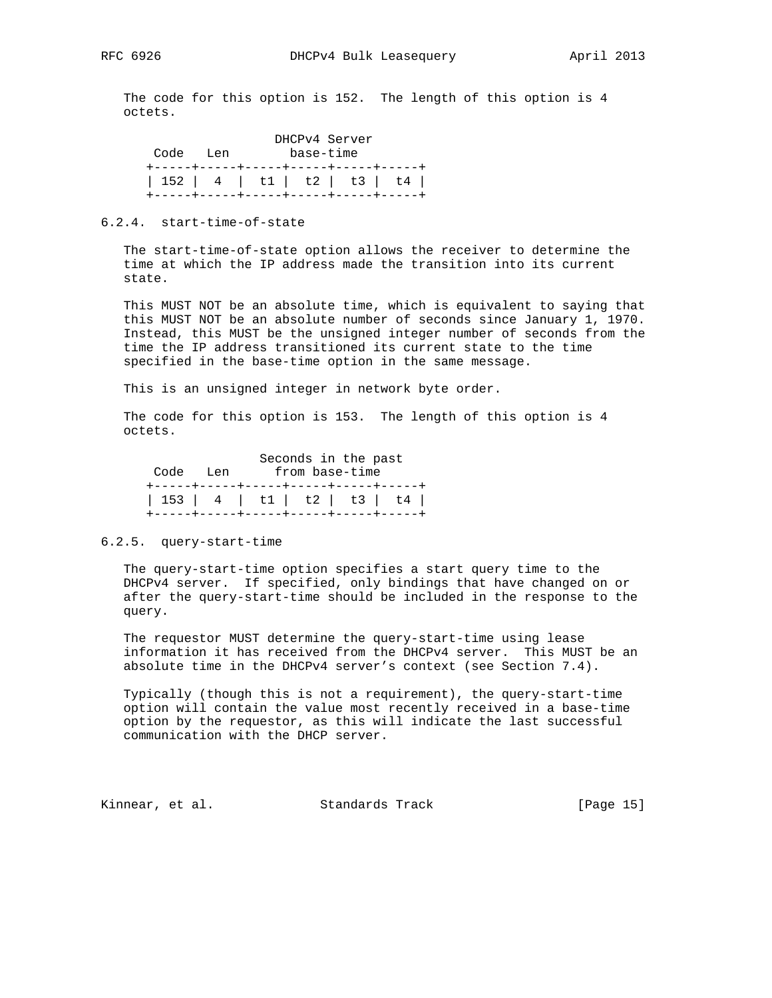The code for this option is 152. The length of this option is 4 octets.

|          |                                        | DHCPv4 Server |  |
|----------|----------------------------------------|---------------|--|
| Code Len |                                        | base-time     |  |
|          | +-----+----+-----+-----+----+----+---- |               |  |
|          | 152   4   t1   t2   t3   t4            |               |  |
|          | +-----+----+-----+-----+----+----+---- |               |  |

#### 6.2.4. start-time-of-state

 The start-time-of-state option allows the receiver to determine the time at which the IP address made the transition into its current state.

 This MUST NOT be an absolute time, which is equivalent to saying that this MUST NOT be an absolute number of seconds since January 1, 1970. Instead, this MUST be the unsigned integer number of seconds from the time the IP address transitioned its current state to the time specified in the base-time option in the same message.

This is an unsigned integer in network byte order.

 The code for this option is 153. The length of this option is 4 octets.

|          | Seconds in the past                    |
|----------|----------------------------------------|
| Code Len | from base-time                         |
|          | +-----+-----+-----+-----+-----+----+-  |
|          | 153   4   t1   t2   t3   t4            |
|          | +-----+-----+-----+-----+------+----+- |

#### 6.2.5. query-start-time

 The query-start-time option specifies a start query time to the DHCPv4 server. If specified, only bindings that have changed on or after the query-start-time should be included in the response to the query.

 The requestor MUST determine the query-start-time using lease information it has received from the DHCPv4 server. This MUST be an absolute time in the DHCPv4 server's context (see Section 7.4).

 Typically (though this is not a requirement), the query-start-time option will contain the value most recently received in a base-time option by the requestor, as this will indicate the last successful communication with the DHCP server.

Kinnear, et al. Standards Track [Page 15]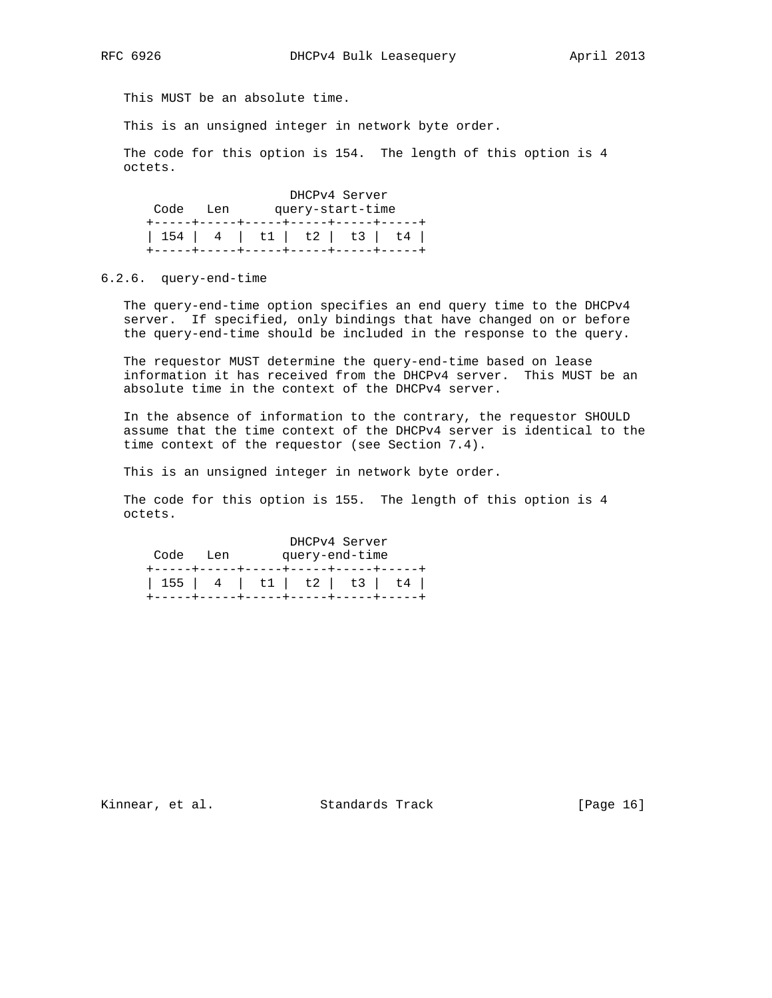This MUST be an absolute time.

This is an unsigned integer in network byte order.

 The code for this option is 154. The length of this option is 4 octets.

|                                                                         |  | DHCPv4 Server    |                       |
|-------------------------------------------------------------------------|--|------------------|-----------------------|
| Code Len                                                                |  | query-start-time |                       |
| 154   4   t1   t2   t3   t4  <br>+-----+----+-----+-----+----+----+---- |  |                  | ---+-----+----+-----+ |

#### 6.2.6. query-end-time

 The query-end-time option specifies an end query time to the DHCPv4 server. If specified, only bindings that have changed on or before the query-end-time should be included in the response to the query.

 The requestor MUST determine the query-end-time based on lease information it has received from the DHCPv4 server. This MUST be an absolute time in the context of the DHCPv4 server.

 In the absence of information to the contrary, the requestor SHOULD assume that the time context of the DHCPv4 server is identical to the time context of the requestor (see Section 7.4).

This is an unsigned integer in network byte order.

 The code for this option is 155. The length of this option is 4 octets.

|          | DHCPv4 Server                        |  |
|----------|--------------------------------------|--|
| Code Len | query-end-time                       |  |
|          | +-----+-----+-----+-----+-----+----- |  |
|          | 155   4   t1   t2   t3   t4          |  |
|          | +-----+-----+-----+-----+-----+----+ |  |

Kinnear, et al. Standards Track [Page 16]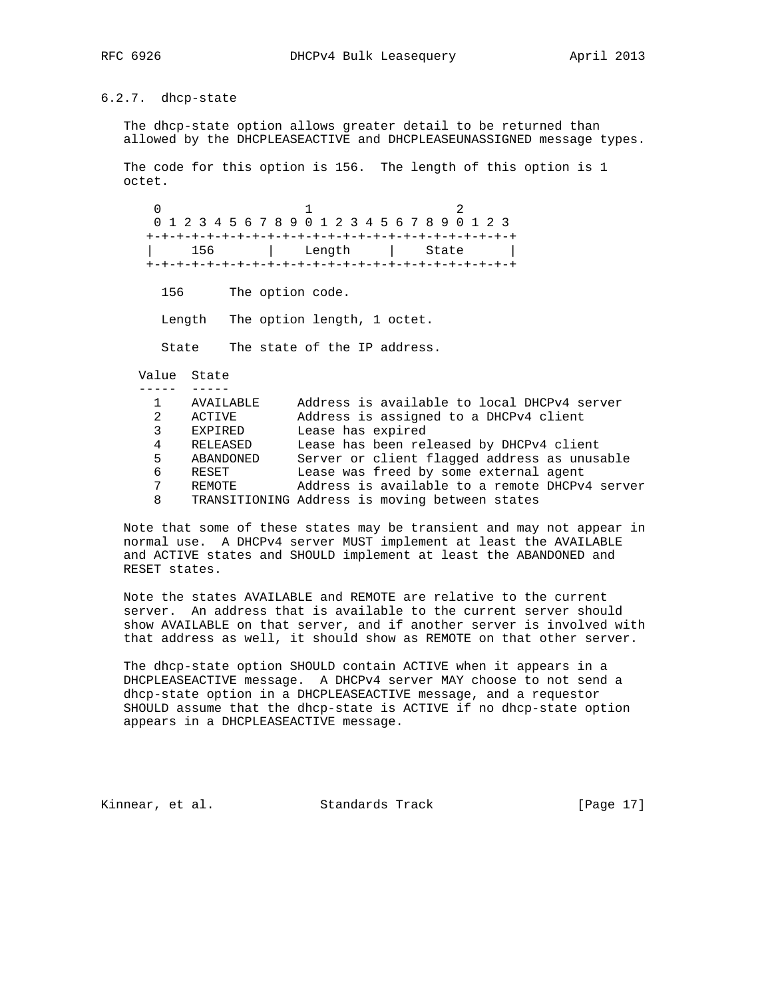## 6.2.7. dhcp-state

 The dhcp-state option allows greater detail to be returned than allowed by the DHCPLEASEACTIVE and DHCPLEASEUNASSIGNED message types.

 The code for this option is 156. The length of this option is 1 octet.

 $0$  and  $1$  2 0 1 2 3 4 5 6 7 8 9 0 1 2 3 4 5 6 7 8 9 0 1 2 3 +-+-+-+-+-+-+-+-+-+-+-+-+-+-+-+-+-+-+-+-+-+-+-+-+ | 156 | Length | State | +-+-+-+-+-+-+-+-+-+-+-+-+-+-+-+-+-+-+-+-+-+-+-+-+

156 The option code.

Length The option length, 1 octet.

State The state of the IP address.

 Value State ----- -----

| AVAILABLE | Address is available to local DHCPv4 server    |
|-----------|------------------------------------------------|
| ACTIVE    | Address is assigned to a DHCPv4 client         |
| EXPIRED   | Lease has expired                              |
| RELEASED  | Lease has been released by DHCPv4 client       |
| ABANDONED | Server or client flagged address as unusable   |
| RESET     | Lease was freed by some external agent         |
| REMOTE    | Address is available to a remote DHCPv4 server |
|           | TRANSITIONING Address is moving between states |
|           |                                                |

 Note that some of these states may be transient and may not appear in normal use. A DHCPv4 server MUST implement at least the AVAILABLE and ACTIVE states and SHOULD implement at least the ABANDONED and RESET states.

 Note the states AVAILABLE and REMOTE are relative to the current server. An address that is available to the current server should show AVAILABLE on that server, and if another server is involved with that address as well, it should show as REMOTE on that other server.

 The dhcp-state option SHOULD contain ACTIVE when it appears in a DHCPLEASEACTIVE message. A DHCPv4 server MAY choose to not send a dhcp-state option in a DHCPLEASEACTIVE message, and a requestor SHOULD assume that the dhcp-state is ACTIVE if no dhcp-state option appears in a DHCPLEASEACTIVE message.

Kinnear, et al. Standards Track [Page 17]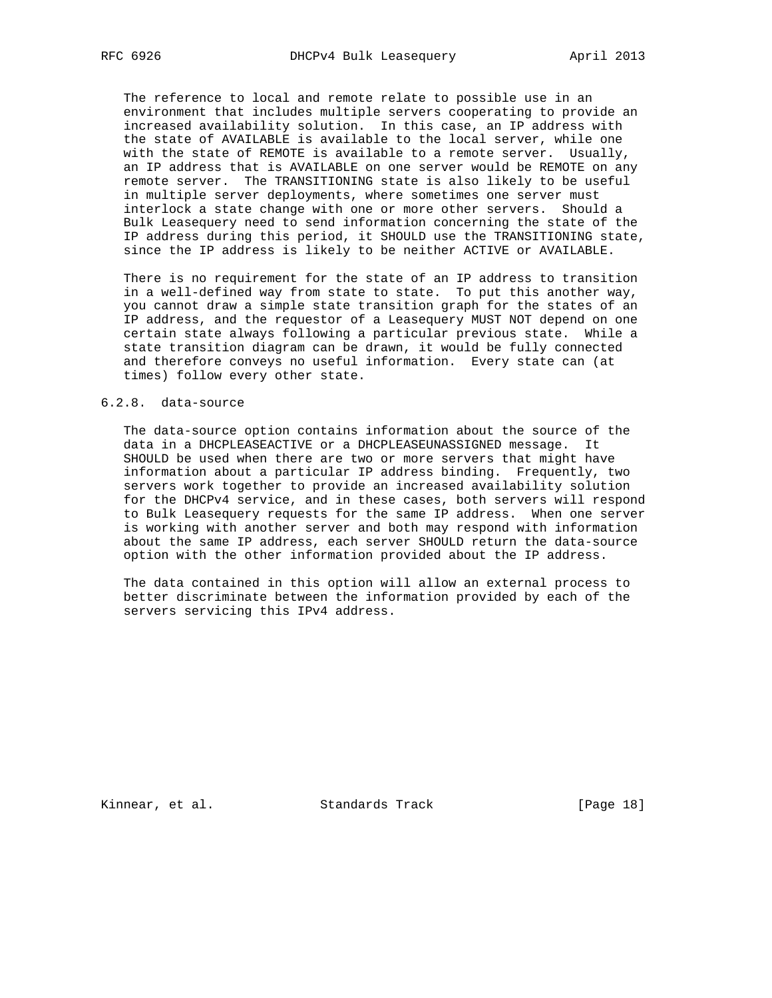The reference to local and remote relate to possible use in an environment that includes multiple servers cooperating to provide an increased availability solution. In this case, an IP address with the state of AVAILABLE is available to the local server, while one with the state of REMOTE is available to a remote server. Usually, an IP address that is AVAILABLE on one server would be REMOTE on any remote server. The TRANSITIONING state is also likely to be useful in multiple server deployments, where sometimes one server must interlock a state change with one or more other servers. Should a Bulk Leasequery need to send information concerning the state of the IP address during this period, it SHOULD use the TRANSITIONING state, since the IP address is likely to be neither ACTIVE or AVAILABLE.

 There is no requirement for the state of an IP address to transition in a well-defined way from state to state. To put this another way, you cannot draw a simple state transition graph for the states of an IP address, and the requestor of a Leasequery MUST NOT depend on one certain state always following a particular previous state. While a state transition diagram can be drawn, it would be fully connected and therefore conveys no useful information. Every state can (at times) follow every other state.

#### 6.2.8. data-source

 The data-source option contains information about the source of the data in a DHCPLEASEACTIVE or a DHCPLEASEUNASSIGNED message. It SHOULD be used when there are two or more servers that might have information about a particular IP address binding. Frequently, two servers work together to provide an increased availability solution for the DHCPv4 service, and in these cases, both servers will respond to Bulk Leasequery requests for the same IP address. When one server is working with another server and both may respond with information about the same IP address, each server SHOULD return the data-source option with the other information provided about the IP address.

 The data contained in this option will allow an external process to better discriminate between the information provided by each of the servers servicing this IPv4 address.

Kinnear, et al. Standards Track [Page 18]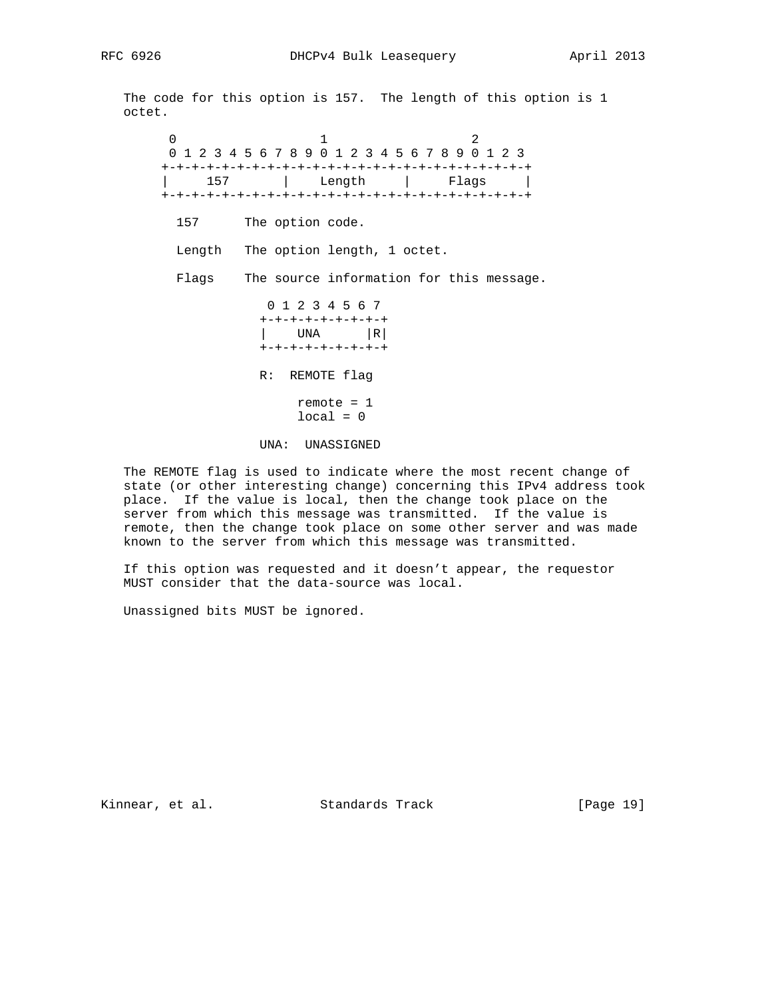The code for this option is 157. The length of this option is 1 octet.

 $0$  and  $1$  and  $2$  0 1 2 3 4 5 6 7 8 9 0 1 2 3 4 5 6 7 8 9 0 1 2 3 +-+-+-+-+-+-+-+-+-+-+-+-+-+-+-+-+-+-+-+-+-+-+-+-+ | 157 | Length | Flags | +-+-+-+-+-+-+-+-+-+-+-+-+-+-+-+-+-+-+-+-+-+-+-+-+ 157 The option code. Length The option length, 1 octet. Flags The source information for this message. 0 1 2 3 4 5 6 7 +-+-+-+-+-+-+-+-+  $|$  UNA  $|R|$  +-+-+-+-+-+-+-+-+ R: REMOTE flag remote = 1  $local = 0$ 

UNA: UNASSIGNED

 The REMOTE flag is used to indicate where the most recent change of state (or other interesting change) concerning this IPv4 address took place. If the value is local, then the change took place on the server from which this message was transmitted. If the value is remote, then the change took place on some other server and was made known to the server from which this message was transmitted.

 If this option was requested and it doesn't appear, the requestor MUST consider that the data-source was local.

Unassigned bits MUST be ignored.

Kinnear, et al. Standards Track [Page 19]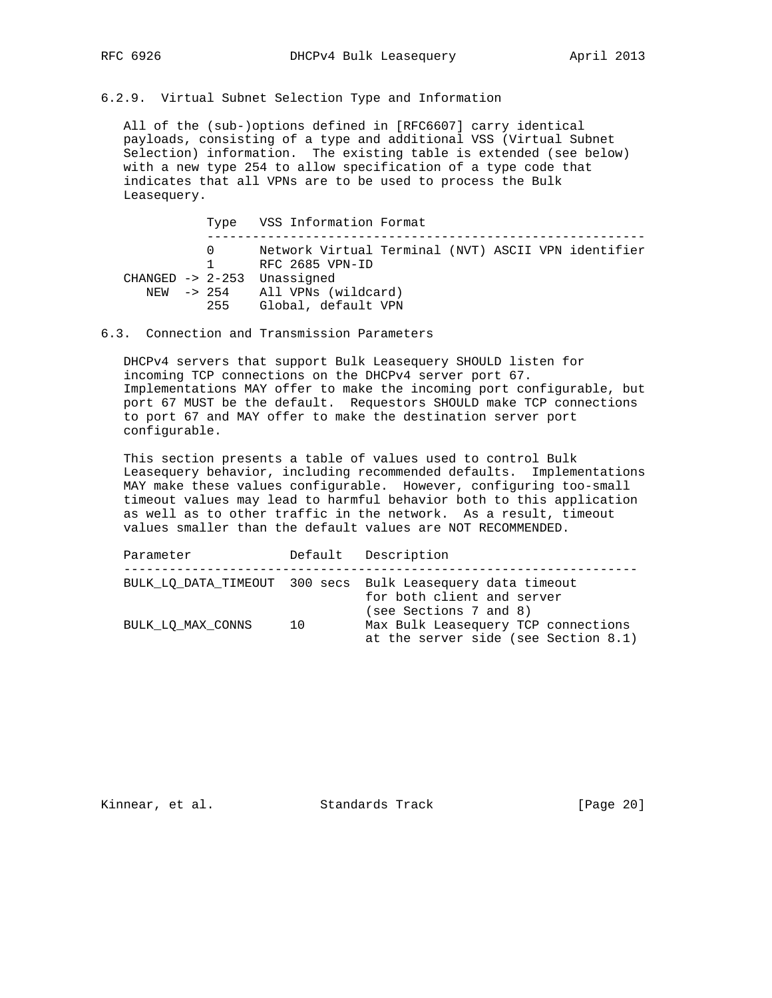6.2.9. Virtual Subnet Selection Type and Information

 All of the (sub-)options defined in [RFC6607] carry identical payloads, consisting of a type and additional VSS (Virtual Subnet Selection) information. The existing table is extended (see below) with a new type 254 to allow specification of a type code that indicates that all VPNs are to be used to process the Bulk Leasequery.

|                                     | Type VSS Information Format                                                                                                                                      |
|-------------------------------------|------------------------------------------------------------------------------------------------------------------------------------------------------------------|
| $\Omega$<br>$1 \quad \cdots$<br>255 | Network Virtual Terminal (NVT) ASCII VPN identifier<br>RFC 2685 VPN-ID<br>$CHANGED$ -> 2-253 Unassigned<br>NEW -> 254 All VPNs (wildcard)<br>Global, default VPN |
|                                     |                                                                                                                                                                  |

6.3. Connection and Transmission Parameters

 DHCPv4 servers that support Bulk Leasequery SHOULD listen for incoming TCP connections on the DHCPv4 server port 67. Implementations MAY offer to make the incoming port configurable, but port 67 MUST be the default. Requestors SHOULD make TCP connections to port 67 and MAY offer to make the destination server port configurable.

 This section presents a table of values used to control Bulk Leasequery behavior, including recommended defaults. Implementations MAY make these values configurable. However, configuring too-small timeout values may lead to harmful behavior both to this application as well as to other traffic in the network. As a result, timeout values smaller than the default values are NOT RECOMMENDED.

| Parameter         |    | Default Description                                                                                                |
|-------------------|----|--------------------------------------------------------------------------------------------------------------------|
|                   |    | BULK LO DATA TIMEOUT 300 secs Bulk Leasequery data timeout<br>for both client and server<br>(see Sections 7 and 8) |
| BULK LO MAX CONNS | 10 | Max Bulk Leasequery TCP connections<br>at the server side (see Section 8.1)                                        |

Kinnear, et al. Standards Track [Page 20]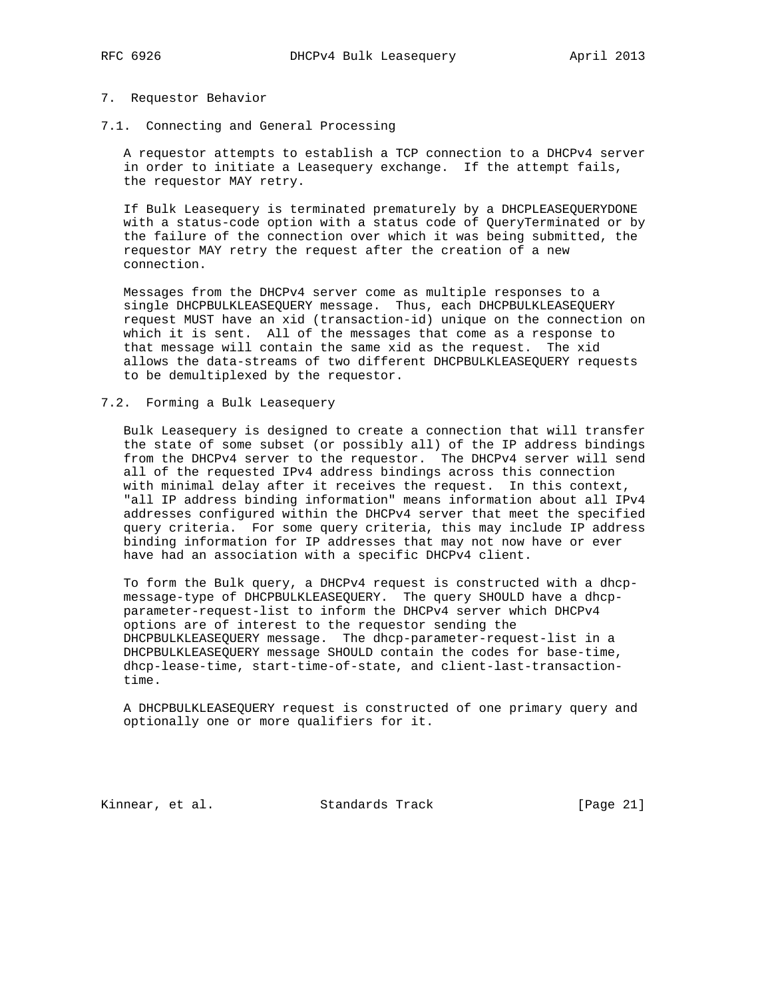#### 7. Requestor Behavior

7.1. Connecting and General Processing

 A requestor attempts to establish a TCP connection to a DHCPv4 server in order to initiate a Leasequery exchange. If the attempt fails, the requestor MAY retry.

 If Bulk Leasequery is terminated prematurely by a DHCPLEASEQUERYDONE with a status-code option with a status code of QueryTerminated or by the failure of the connection over which it was being submitted, the requestor MAY retry the request after the creation of a new connection.

 Messages from the DHCPv4 server come as multiple responses to a single DHCPBULKLEASEQUERY message. Thus, each DHCPBULKLEASEQUERY request MUST have an xid (transaction-id) unique on the connection on which it is sent. All of the messages that come as a response to that message will contain the same xid as the request. The xid allows the data-streams of two different DHCPBULKLEASEQUERY requests to be demultiplexed by the requestor.

#### 7.2. Forming a Bulk Leasequery

 Bulk Leasequery is designed to create a connection that will transfer the state of some subset (or possibly all) of the IP address bindings from the DHCPv4 server to the requestor. The DHCPv4 server will send all of the requested IPv4 address bindings across this connection with minimal delay after it receives the request. In this context, "all IP address binding information" means information about all IPv4 addresses configured within the DHCPv4 server that meet the specified query criteria. For some query criteria, this may include IP address binding information for IP addresses that may not now have or ever have had an association with a specific DHCPv4 client.

 To form the Bulk query, a DHCPv4 request is constructed with a dhcp message-type of DHCPBULKLEASEQUERY. The query SHOULD have a dhcp parameter-request-list to inform the DHCPv4 server which DHCPv4 options are of interest to the requestor sending the DHCPBULKLEASEQUERY message. The dhcp-parameter-request-list in a DHCPBULKLEASEQUERY message SHOULD contain the codes for base-time, dhcp-lease-time, start-time-of-state, and client-last-transaction time.

 A DHCPBULKLEASEQUERY request is constructed of one primary query and optionally one or more qualifiers for it.

Kinnear, et al. Standards Track [Page 21]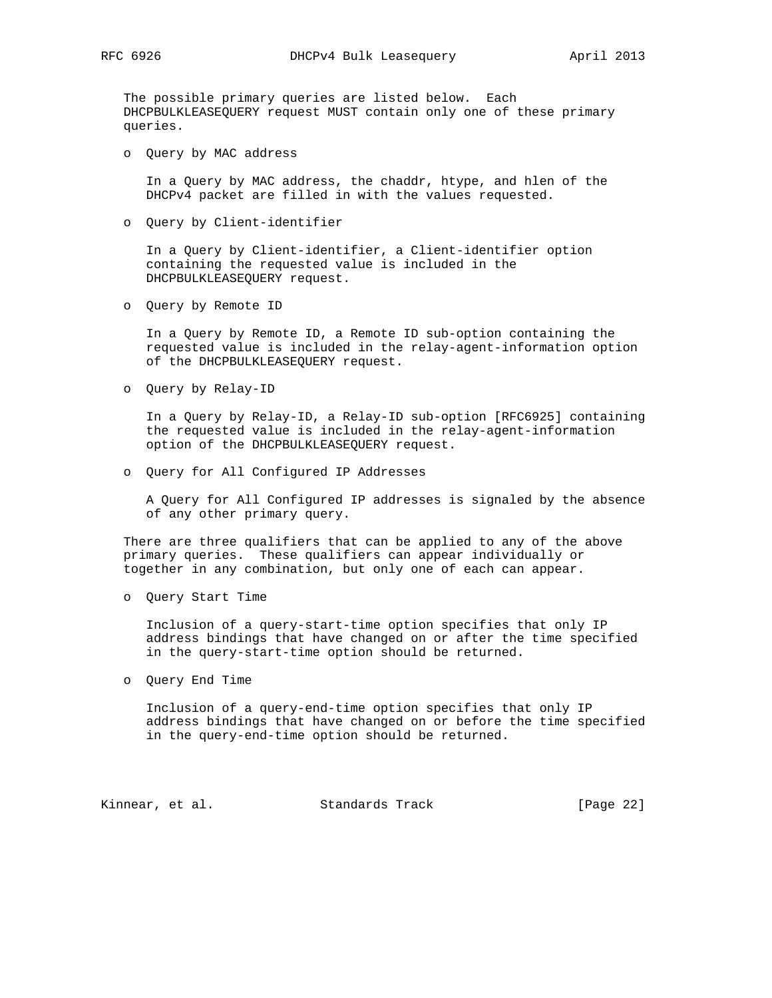The possible primary queries are listed below. Each DHCPBULKLEASEQUERY request MUST contain only one of these primary queries.

o Query by MAC address

 In a Query by MAC address, the chaddr, htype, and hlen of the DHCPv4 packet are filled in with the values requested.

o Query by Client-identifier

 In a Query by Client-identifier, a Client-identifier option containing the requested value is included in the DHCPBULKLEASEQUERY request.

o Query by Remote ID

 In a Query by Remote ID, a Remote ID sub-option containing the requested value is included in the relay-agent-information option of the DHCPBULKLEASEQUERY request.

o Query by Relay-ID

 In a Query by Relay-ID, a Relay-ID sub-option [RFC6925] containing the requested value is included in the relay-agent-information option of the DHCPBULKLEASEQUERY request.

o Query for All Configured IP Addresses

 A Query for All Configured IP addresses is signaled by the absence of any other primary query.

 There are three qualifiers that can be applied to any of the above primary queries. These qualifiers can appear individually or together in any combination, but only one of each can appear.

o Query Start Time

 Inclusion of a query-start-time option specifies that only IP address bindings that have changed on or after the time specified in the query-start-time option should be returned.

o Query End Time

 Inclusion of a query-end-time option specifies that only IP address bindings that have changed on or before the time specified in the query-end-time option should be returned.

Kinnear, et al. Standards Track [Page 22]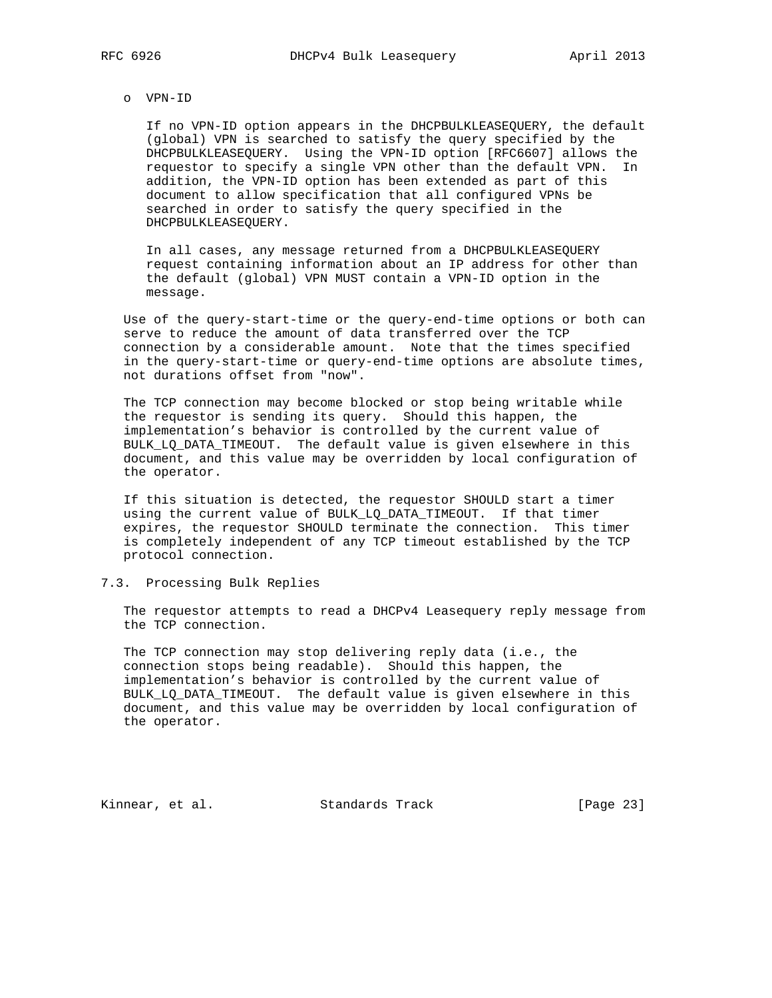#### o VPN-ID

 If no VPN-ID option appears in the DHCPBULKLEASEQUERY, the default (global) VPN is searched to satisfy the query specified by the DHCPBULKLEASEQUERY. Using the VPN-ID option [RFC6607] allows the requestor to specify a single VPN other than the default VPN. In addition, the VPN-ID option has been extended as part of this document to allow specification that all configured VPNs be searched in order to satisfy the query specified in the DHCPBULKLEASEQUERY.

 In all cases, any message returned from a DHCPBULKLEASEQUERY request containing information about an IP address for other than the default (global) VPN MUST contain a VPN-ID option in the message.

 Use of the query-start-time or the query-end-time options or both can serve to reduce the amount of data transferred over the TCP connection by a considerable amount. Note that the times specified in the query-start-time or query-end-time options are absolute times, not durations offset from "now".

 The TCP connection may become blocked or stop being writable while the requestor is sending its query. Should this happen, the implementation's behavior is controlled by the current value of BULK\_LQ\_DATA\_TIMEOUT. The default value is given elsewhere in this document, and this value may be overridden by local configuration of the operator.

 If this situation is detected, the requestor SHOULD start a timer using the current value of BULK\_LQ\_DATA\_TIMEOUT. If that timer expires, the requestor SHOULD terminate the connection. This timer is completely independent of any TCP timeout established by the TCP protocol connection.

7.3. Processing Bulk Replies

 The requestor attempts to read a DHCPv4 Leasequery reply message from the TCP connection.

 The TCP connection may stop delivering reply data (i.e., the connection stops being readable). Should this happen, the implementation's behavior is controlled by the current value of BULK\_LQ\_DATA\_TIMEOUT. The default value is given elsewhere in this document, and this value may be overridden by local configuration of the operator.

Kinnear, et al. Standards Track [Page 23]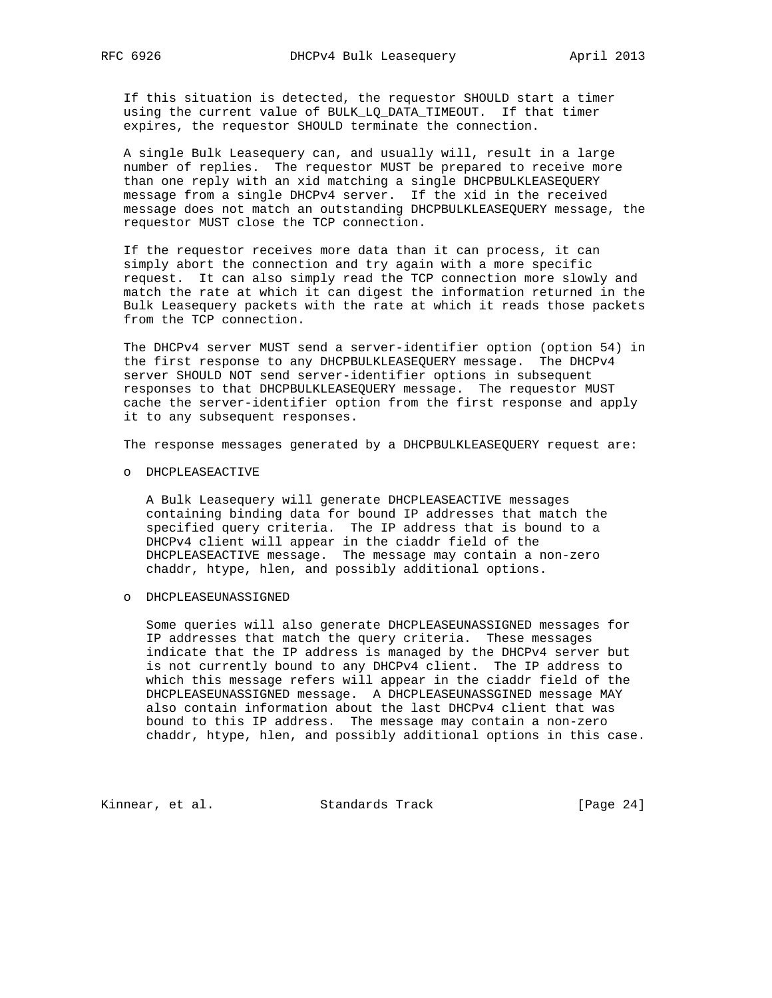If this situation is detected, the requestor SHOULD start a timer using the current value of BULK\_LQ\_DATA\_TIMEOUT. If that timer expires, the requestor SHOULD terminate the connection.

 A single Bulk Leasequery can, and usually will, result in a large number of replies. The requestor MUST be prepared to receive more than one reply with an xid matching a single DHCPBULKLEASEQUERY message from a single DHCPv4 server. If the xid in the received message does not match an outstanding DHCPBULKLEASEQUERY message, the requestor MUST close the TCP connection.

 If the requestor receives more data than it can process, it can simply abort the connection and try again with a more specific request. It can also simply read the TCP connection more slowly and match the rate at which it can digest the information returned in the Bulk Leasequery packets with the rate at which it reads those packets from the TCP connection.

 The DHCPv4 server MUST send a server-identifier option (option 54) in the first response to any DHCPBULKLEASEQUERY message. The DHCPv4 server SHOULD NOT send server-identifier options in subsequent responses to that DHCPBULKLEASEQUERY message. The requestor MUST cache the server-identifier option from the first response and apply it to any subsequent responses.

The response messages generated by a DHCPBULKLEASEQUERY request are:

o DHCPLEASEACTIVE

 A Bulk Leasequery will generate DHCPLEASEACTIVE messages containing binding data for bound IP addresses that match the specified query criteria. The IP address that is bound to a DHCPv4 client will appear in the ciaddr field of the DHCPLEASEACTIVE message. The message may contain a non-zero chaddr, htype, hlen, and possibly additional options.

o DHCPLEASEUNASSIGNED

 Some queries will also generate DHCPLEASEUNASSIGNED messages for IP addresses that match the query criteria. These messages indicate that the IP address is managed by the DHCPv4 server but is not currently bound to any DHCPv4 client. The IP address to which this message refers will appear in the ciaddr field of the DHCPLEASEUNASSIGNED message. A DHCPLEASEUNASSGINED message MAY also contain information about the last DHCPv4 client that was bound to this IP address. The message may contain a non-zero chaddr, htype, hlen, and possibly additional options in this case.

Kinnear, et al. Standards Track [Page 24]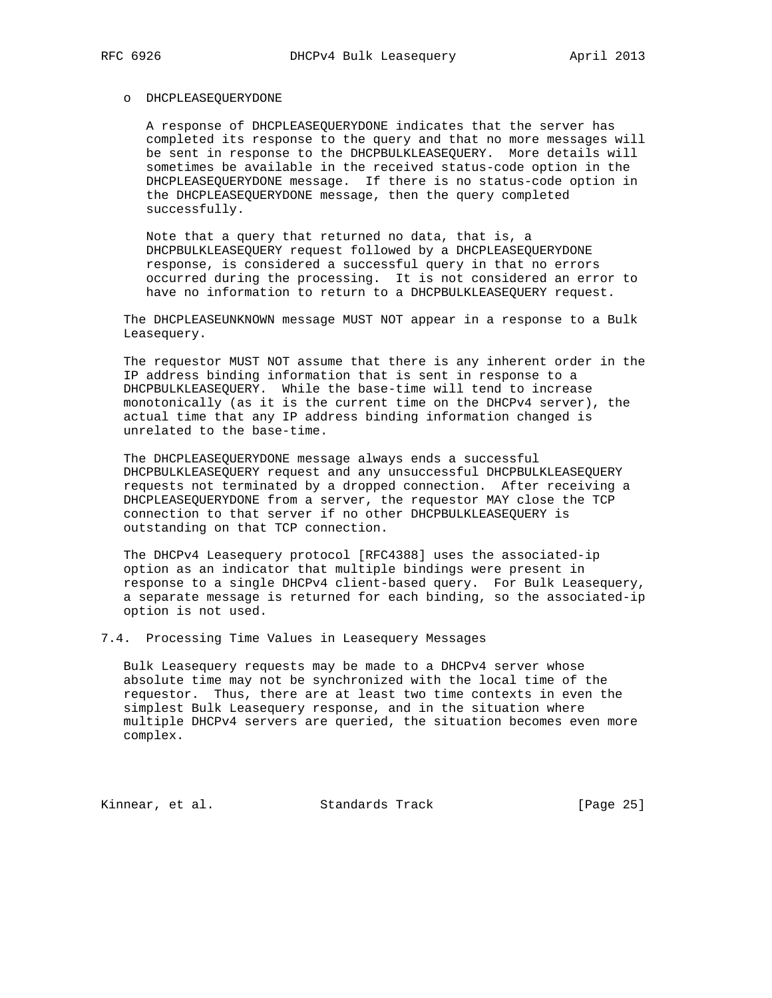#### o DHCPLEASEQUERYDONE

 A response of DHCPLEASEQUERYDONE indicates that the server has completed its response to the query and that no more messages will be sent in response to the DHCPBULKLEASEQUERY. More details will sometimes be available in the received status-code option in the DHCPLEASEQUERYDONE message. If there is no status-code option in the DHCPLEASEQUERYDONE message, then the query completed successfully.

 Note that a query that returned no data, that is, a DHCPBULKLEASEQUERY request followed by a DHCPLEASEQUERYDONE response, is considered a successful query in that no errors occurred during the processing. It is not considered an error to have no information to return to a DHCPBULKLEASEQUERY request.

 The DHCPLEASEUNKNOWN message MUST NOT appear in a response to a Bulk Leasequery.

 The requestor MUST NOT assume that there is any inherent order in the IP address binding information that is sent in response to a DHCPBULKLEASEQUERY. While the base-time will tend to increase monotonically (as it is the current time on the DHCPv4 server), the actual time that any IP address binding information changed is unrelated to the base-time.

 The DHCPLEASEQUERYDONE message always ends a successful DHCPBULKLEASEQUERY request and any unsuccessful DHCPBULKLEASEQUERY requests not terminated by a dropped connection. After receiving a DHCPLEASEQUERYDONE from a server, the requestor MAY close the TCP connection to that server if no other DHCPBULKLEASEQUERY is outstanding on that TCP connection.

 The DHCPv4 Leasequery protocol [RFC4388] uses the associated-ip option as an indicator that multiple bindings were present in response to a single DHCPv4 client-based query. For Bulk Leasequery, a separate message is returned for each binding, so the associated-ip option is not used.

7.4. Processing Time Values in Leasequery Messages

 Bulk Leasequery requests may be made to a DHCPv4 server whose absolute time may not be synchronized with the local time of the requestor. Thus, there are at least two time contexts in even the simplest Bulk Leasequery response, and in the situation where multiple DHCPv4 servers are queried, the situation becomes even more complex.

Kinnear, et al. Standards Track [Page 25]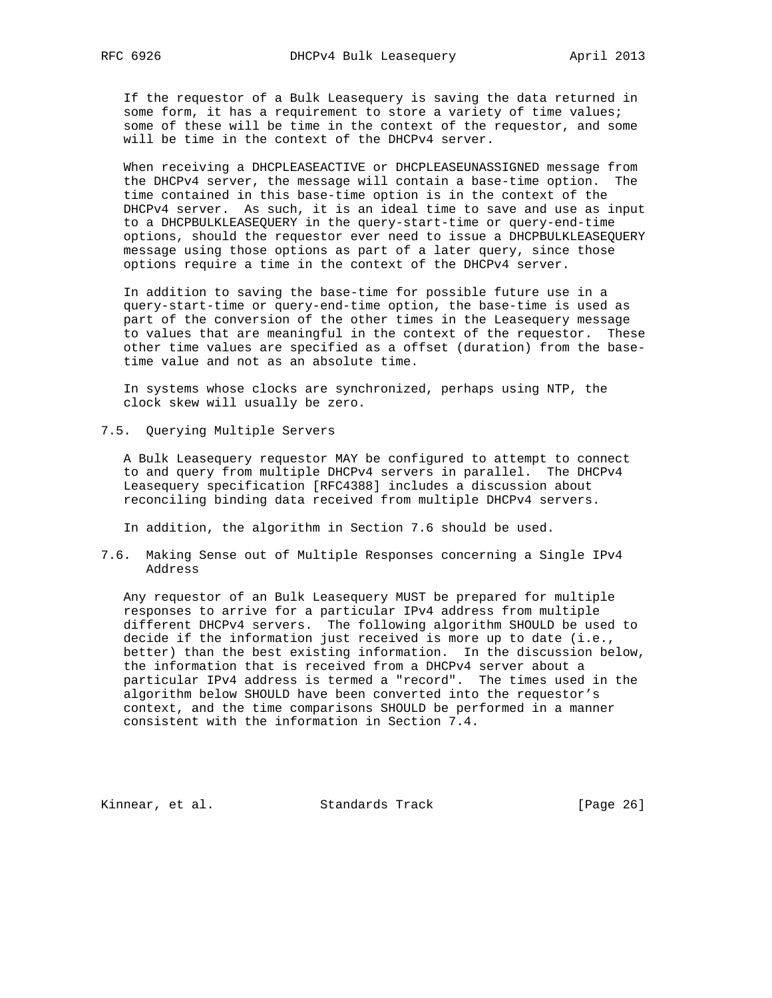If the requestor of a Bulk Leasequery is saving the data returned in some form, it has a requirement to store a variety of time values; some of these will be time in the context of the requestor, and some will be time in the context of the DHCPv4 server.

 When receiving a DHCPLEASEACTIVE or DHCPLEASEUNASSIGNED message from the DHCPv4 server, the message will contain a base-time option. The time contained in this base-time option is in the context of the DHCPv4 server. As such, it is an ideal time to save and use as input to a DHCPBULKLEASEQUERY in the query-start-time or query-end-time options, should the requestor ever need to issue a DHCPBULKLEASEQUERY message using those options as part of a later query, since those options require a time in the context of the DHCPv4 server.

 In addition to saving the base-time for possible future use in a query-start-time or query-end-time option, the base-time is used as part of the conversion of the other times in the Leasequery message to values that are meaningful in the context of the requestor. These other time values are specified as a offset (duration) from the base time value and not as an absolute time.

 In systems whose clocks are synchronized, perhaps using NTP, the clock skew will usually be zero.

7.5. Querying Multiple Servers

 A Bulk Leasequery requestor MAY be configured to attempt to connect to and query from multiple DHCPv4 servers in parallel. The DHCPv4 Leasequery specification [RFC4388] includes a discussion about reconciling binding data received from multiple DHCPv4 servers.

In addition, the algorithm in Section 7.6 should be used.

7.6. Making Sense out of Multiple Responses concerning a Single IPv4 Address

 Any requestor of an Bulk Leasequery MUST be prepared for multiple responses to arrive for a particular IPv4 address from multiple different DHCPv4 servers. The following algorithm SHOULD be used to decide if the information just received is more up to date (i.e., better) than the best existing information. In the discussion below, the information that is received from a DHCPv4 server about a particular IPv4 address is termed a "record". The times used in the algorithm below SHOULD have been converted into the requestor's context, and the time comparisons SHOULD be performed in a manner consistent with the information in Section 7.4.

Kinnear, et al. Standards Track [Page 26]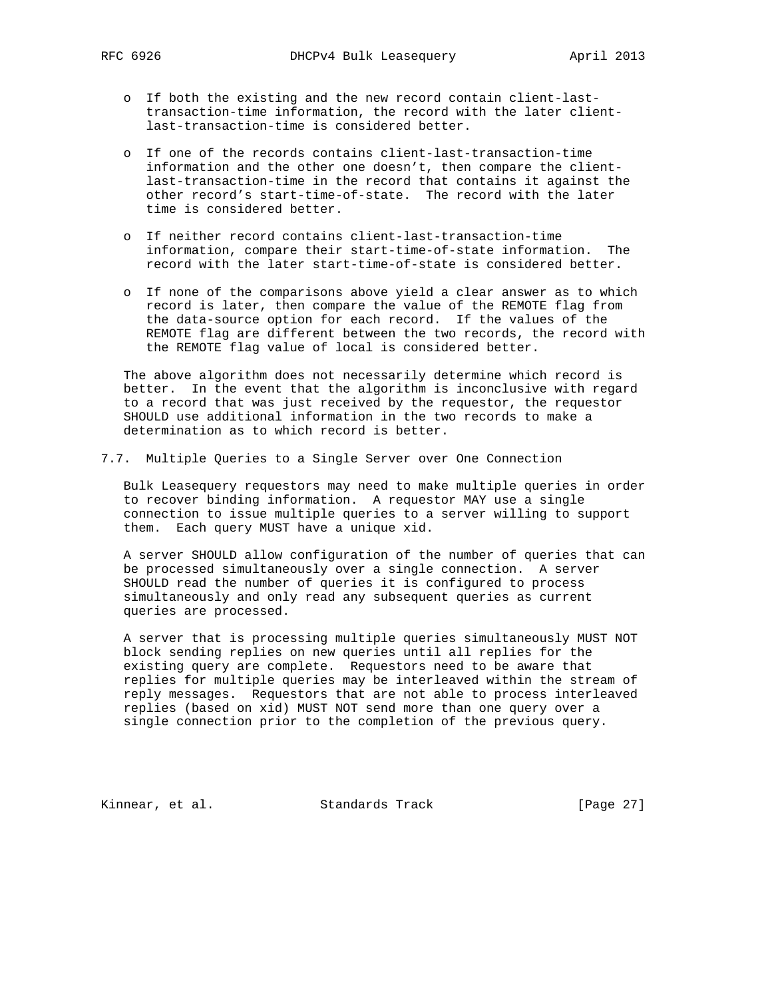- o If both the existing and the new record contain client-last transaction-time information, the record with the later client last-transaction-time is considered better.
- o If one of the records contains client-last-transaction-time information and the other one doesn't, then compare the client last-transaction-time in the record that contains it against the other record's start-time-of-state. The record with the later time is considered better.
- o If neither record contains client-last-transaction-time information, compare their start-time-of-state information. The record with the later start-time-of-state is considered better.
- o If none of the comparisons above yield a clear answer as to which record is later, then compare the value of the REMOTE flag from the data-source option for each record. If the values of the REMOTE flag are different between the two records, the record with the REMOTE flag value of local is considered better.

 The above algorithm does not necessarily determine which record is better. In the event that the algorithm is inconclusive with regard to a record that was just received by the requestor, the requestor SHOULD use additional information in the two records to make a determination as to which record is better.

7.7. Multiple Queries to a Single Server over One Connection

 Bulk Leasequery requestors may need to make multiple queries in order to recover binding information. A requestor MAY use a single connection to issue multiple queries to a server willing to support them. Each query MUST have a unique xid.

 A server SHOULD allow configuration of the number of queries that can be processed simultaneously over a single connection. A server SHOULD read the number of queries it is configured to process simultaneously and only read any subsequent queries as current queries are processed.

 A server that is processing multiple queries simultaneously MUST NOT block sending replies on new queries until all replies for the existing query are complete. Requestors need to be aware that replies for multiple queries may be interleaved within the stream of reply messages. Requestors that are not able to process interleaved replies (based on xid) MUST NOT send more than one query over a single connection prior to the completion of the previous query.

Kinnear, et al. Standards Track [Page 27]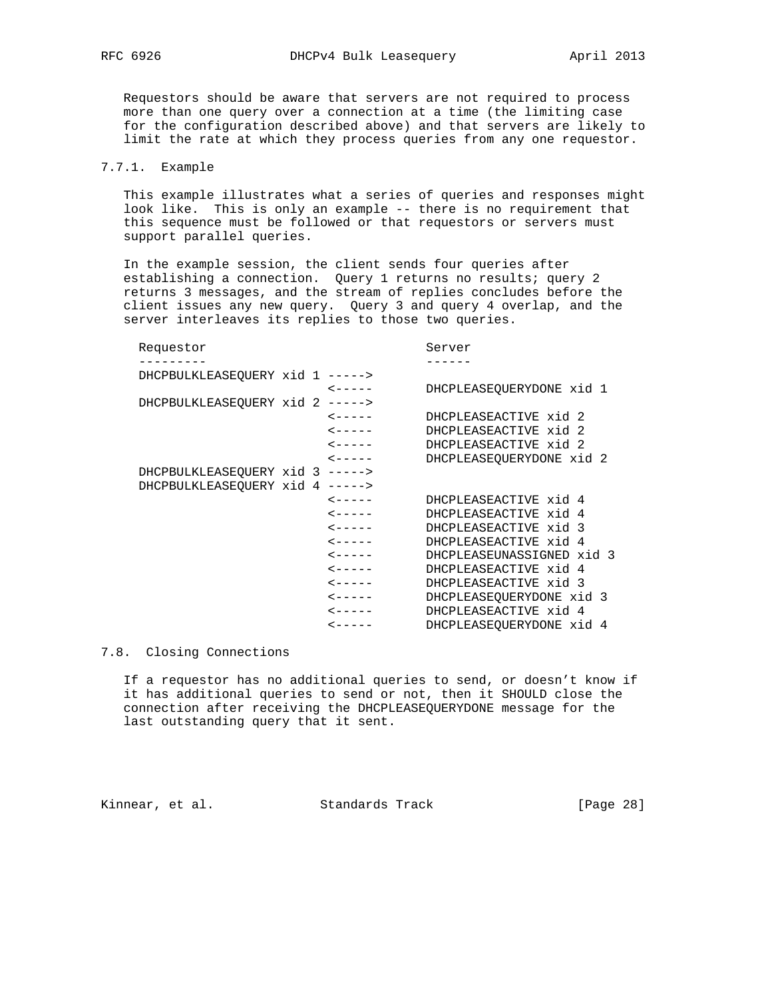Requestors should be aware that servers are not required to process more than one query over a connection at a time (the limiting case for the configuration described above) and that servers are likely to limit the rate at which they process queries from any one requestor.

## 7.7.1. Example

 This example illustrates what a series of queries and responses might look like. This is only an example -- there is no requirement that this sequence must be followed or that requestors or servers must support parallel queries.

 In the example session, the client sends four queries after establishing a connection. Query 1 returns no results; query 2 returns 3 messages, and the stream of replies concludes before the client issues any new query. Query 3 and query 4 overlap, and the server interleaves its replies to those two queries.

| Requestor |                      | Server                                                                                                                                   |
|-----------|----------------------|------------------------------------------------------------------------------------------------------------------------------------------|
|           |                      |                                                                                                                                          |
|           |                      |                                                                                                                                          |
|           | $\zeta$ - - - - -    | DHCPLEASEOUERYDONE xid 1                                                                                                                 |
|           |                      |                                                                                                                                          |
|           | $\zeta$ - - - - -    | DHCPLEASEACTIVE xid 2                                                                                                                    |
|           | $\leftarrow$ - - - - | DHCPLEASEACTIVE xid 2                                                                                                                    |
|           | $\lt - - - - -$      | DHCPLEASEACTIVE xid 2                                                                                                                    |
|           | $\leftarrow$ - - - - | DHCPLEASEOUERYDONE xid 2                                                                                                                 |
|           |                      |                                                                                                                                          |
|           |                      |                                                                                                                                          |
|           | $\lt - - - - -$      | DHCPLEASEACTIVE xid 4                                                                                                                    |
|           | $\leftarrow$ - - - - | DHCPLEASEACTIVE xid 4                                                                                                                    |
|           | $\leftarrow$ - - - - | DHCPLEASEACTIVE xid 3                                                                                                                    |
|           | $\leftarrow$ - - - - | DHCPLEASEACTIVE xid 4                                                                                                                    |
|           | $\zeta$ - - - - -    | DHCPLEASEUNASSIGNED xid 3                                                                                                                |
|           | $\lt - - - - -$      | DHCPLEASEACTIVE xid 4                                                                                                                    |
|           | $\leftarrow$ - - - - | DHCPLEASEACTIVE xid 3                                                                                                                    |
|           | $\leftarrow$ - - - - | DHCPLEASEOUERYDONE xid 3                                                                                                                 |
|           |                      | DHCPLEASEACTIVE xid 4                                                                                                                    |
|           | $\zeta$ - - - - -    | DHCPLEASEOUERYDONE xid 4                                                                                                                 |
|           |                      | DHCPBULKLEASEOUERY xid 1 -----><br>DHCPBULKLEASEOUERY xid 2 -----><br>DHCPBULKLEASEOUERY xid 3 -----><br>DHCPBULKLEASEOUERY xid 4 -----> |

7.8. Closing Connections

 If a requestor has no additional queries to send, or doesn't know if it has additional queries to send or not, then it SHOULD close the connection after receiving the DHCPLEASEQUERYDONE message for the last outstanding query that it sent.

Kinnear, et al. Standards Track [Page 28]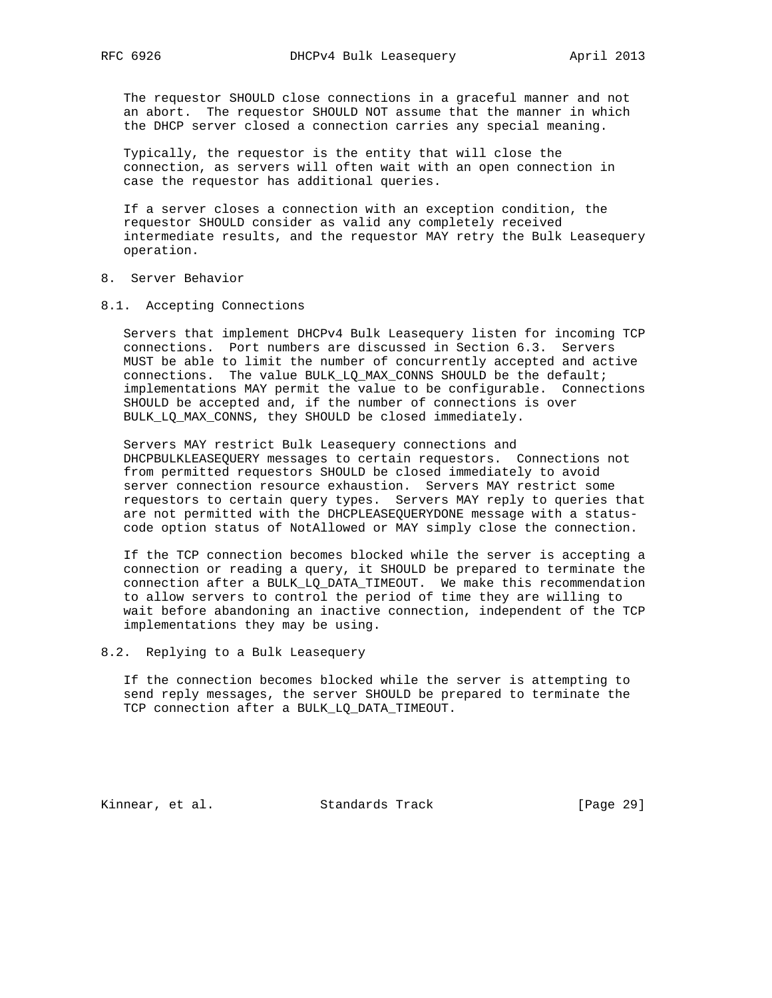The requestor SHOULD close connections in a graceful manner and not an abort. The requestor SHOULD NOT assume that the manner in which the DHCP server closed a connection carries any special meaning.

 Typically, the requestor is the entity that will close the connection, as servers will often wait with an open connection in case the requestor has additional queries.

 If a server closes a connection with an exception condition, the requestor SHOULD consider as valid any completely received intermediate results, and the requestor MAY retry the Bulk Leasequery operation.

- 8. Server Behavior
- 8.1. Accepting Connections

 Servers that implement DHCPv4 Bulk Leasequery listen for incoming TCP connections. Port numbers are discussed in Section 6.3. Servers MUST be able to limit the number of concurrently accepted and active connections. The value BULK\_LQ\_MAX\_CONNS SHOULD be the default; implementations MAY permit the value to be configurable. Connections SHOULD be accepted and, if the number of connections is over BULK\_LQ\_MAX\_CONNS, they SHOULD be closed immediately.

 Servers MAY restrict Bulk Leasequery connections and DHCPBULKLEASEQUERY messages to certain requestors. Connections not from permitted requestors SHOULD be closed immediately to avoid server connection resource exhaustion. Servers MAY restrict some requestors to certain query types. Servers MAY reply to queries that are not permitted with the DHCPLEASEQUERYDONE message with a status code option status of NotAllowed or MAY simply close the connection.

 If the TCP connection becomes blocked while the server is accepting a connection or reading a query, it SHOULD be prepared to terminate the connection after a BULK\_LQ\_DATA\_TIMEOUT. We make this recommendation to allow servers to control the period of time they are willing to wait before abandoning an inactive connection, independent of the TCP implementations they may be using.

8.2. Replying to a Bulk Leasequery

 If the connection becomes blocked while the server is attempting to send reply messages, the server SHOULD be prepared to terminate the TCP connection after a BULK\_LQ\_DATA\_TIMEOUT.

Kinnear, et al. Standards Track [Page 29]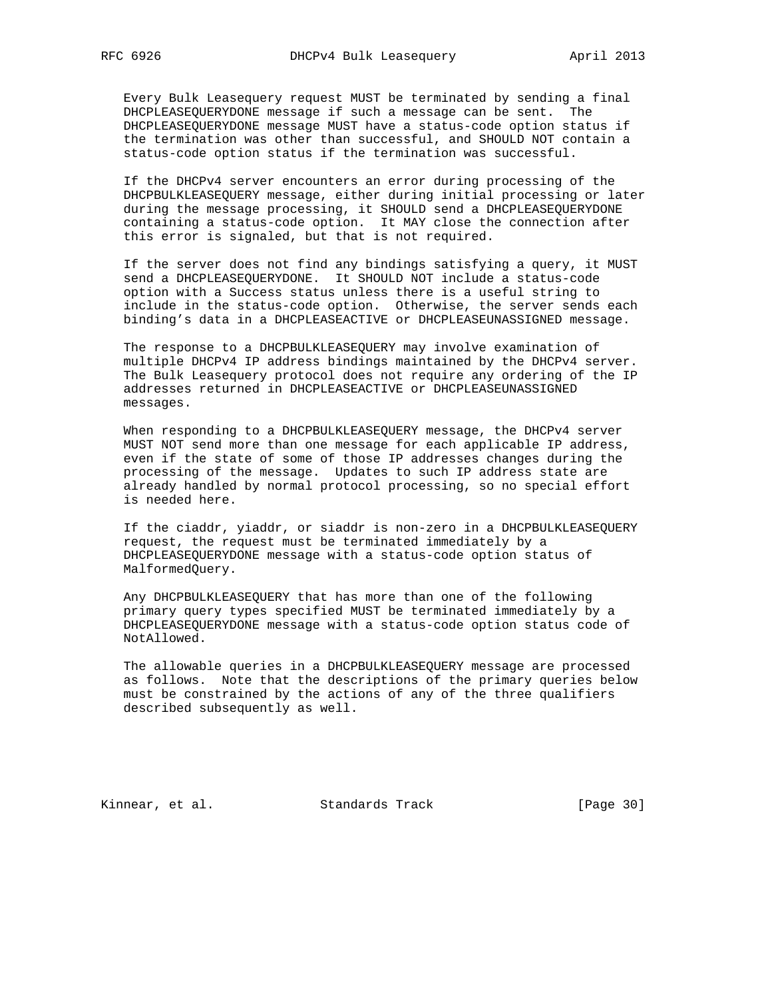Every Bulk Leasequery request MUST be terminated by sending a final DHCPLEASEQUERYDONE message if such a message can be sent. The DHCPLEASEQUERYDONE message MUST have a status-code option status if the termination was other than successful, and SHOULD NOT contain a status-code option status if the termination was successful.

 If the DHCPv4 server encounters an error during processing of the DHCPBULKLEASEQUERY message, either during initial processing or later during the message processing, it SHOULD send a DHCPLEASEQUERYDONE containing a status-code option. It MAY close the connection after this error is signaled, but that is not required.

 If the server does not find any bindings satisfying a query, it MUST send a DHCPLEASEQUERYDONE. It SHOULD NOT include a status-code option with a Success status unless there is a useful string to include in the status-code option. Otherwise, the server sends each binding's data in a DHCPLEASEACTIVE or DHCPLEASEUNASSIGNED message.

 The response to a DHCPBULKLEASEQUERY may involve examination of multiple DHCPv4 IP address bindings maintained by the DHCPv4 server. The Bulk Leasequery protocol does not require any ordering of the IP addresses returned in DHCPLEASEACTIVE or DHCPLEASEUNASSIGNED messages.

 When responding to a DHCPBULKLEASEQUERY message, the DHCPv4 server MUST NOT send more than one message for each applicable IP address, even if the state of some of those IP addresses changes during the processing of the message. Updates to such IP address state are already handled by normal protocol processing, so no special effort is needed here.

 If the ciaddr, yiaddr, or siaddr is non-zero in a DHCPBULKLEASEQUERY request, the request must be terminated immediately by a DHCPLEASEQUERYDONE message with a status-code option status of MalformedQuery.

 Any DHCPBULKLEASEQUERY that has more than one of the following primary query types specified MUST be terminated immediately by a DHCPLEASEQUERYDONE message with a status-code option status code of NotAllowed.

 The allowable queries in a DHCPBULKLEASEQUERY message are processed as follows. Note that the descriptions of the primary queries below must be constrained by the actions of any of the three qualifiers described subsequently as well.

Kinnear, et al. Standards Track [Page 30]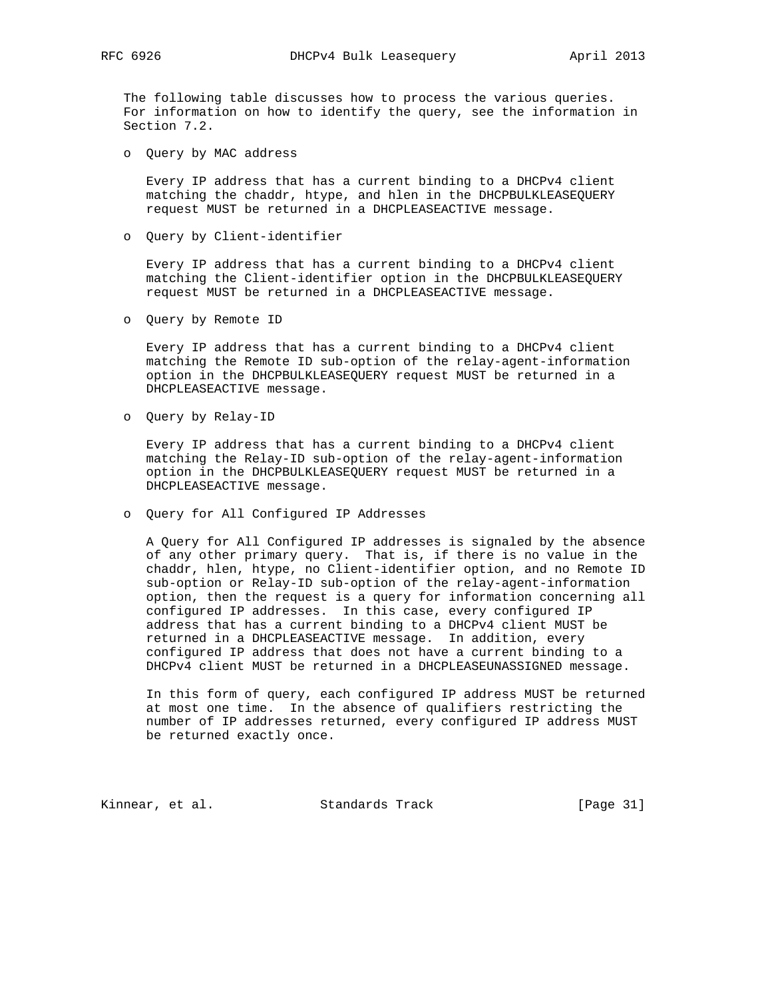The following table discusses how to process the various queries. For information on how to identify the query, see the information in Section 7.2.

o Query by MAC address

 Every IP address that has a current binding to a DHCPv4 client matching the chaddr, htype, and hlen in the DHCPBULKLEASEQUERY request MUST be returned in a DHCPLEASEACTIVE message.

o Query by Client-identifier

 Every IP address that has a current binding to a DHCPv4 client matching the Client-identifier option in the DHCPBULKLEASEQUERY request MUST be returned in a DHCPLEASEACTIVE message.

o Query by Remote ID

 Every IP address that has a current binding to a DHCPv4 client matching the Remote ID sub-option of the relay-agent-information option in the DHCPBULKLEASEQUERY request MUST be returned in a DHCPLEASEACTIVE message.

o Query by Relay-ID

 Every IP address that has a current binding to a DHCPv4 client matching the Relay-ID sub-option of the relay-agent-information option in the DHCPBULKLEASEQUERY request MUST be returned in a DHCPLEASEACTIVE message.

o Query for All Configured IP Addresses

 A Query for All Configured IP addresses is signaled by the absence of any other primary query. That is, if there is no value in the chaddr, hlen, htype, no Client-identifier option, and no Remote ID sub-option or Relay-ID sub-option of the relay-agent-information option, then the request is a query for information concerning all configured IP addresses. In this case, every configured IP address that has a current binding to a DHCPv4 client MUST be returned in a DHCPLEASEACTIVE message. In addition, every configured IP address that does not have a current binding to a DHCPv4 client MUST be returned in a DHCPLEASEUNASSIGNED message.

 In this form of query, each configured IP address MUST be returned at most one time. In the absence of qualifiers restricting the number of IP addresses returned, every configured IP address MUST be returned exactly once.

Kinnear, et al. Standards Track [Page 31]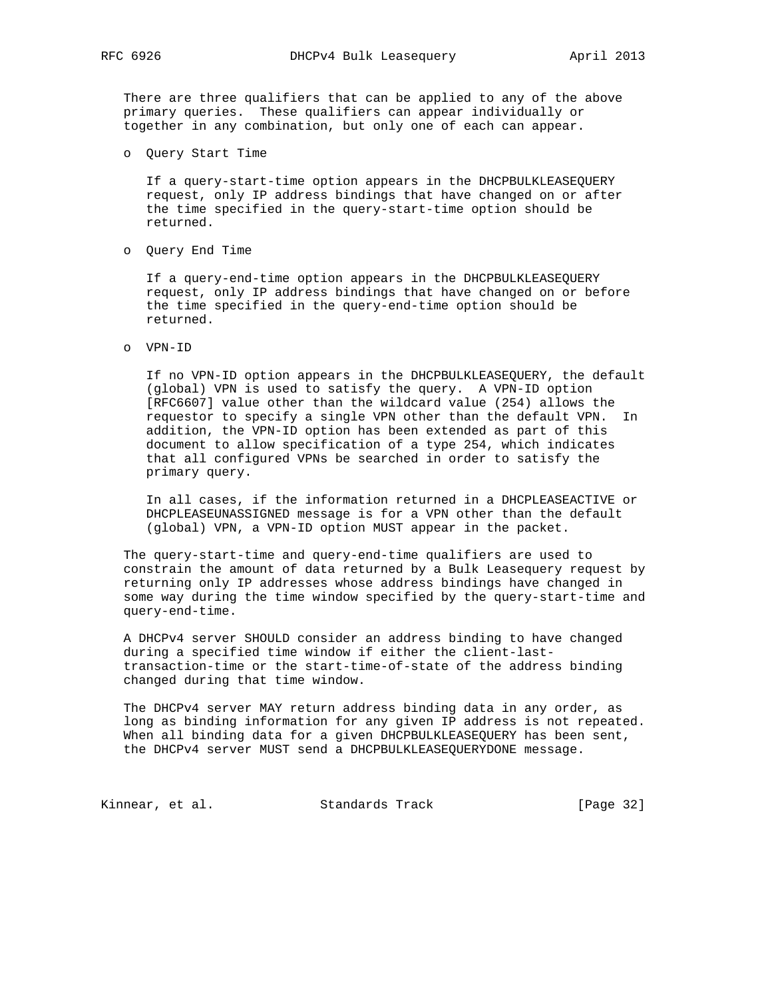There are three qualifiers that can be applied to any of the above primary queries. These qualifiers can appear individually or together in any combination, but only one of each can appear.

o Query Start Time

 If a query-start-time option appears in the DHCPBULKLEASEQUERY request, only IP address bindings that have changed on or after the time specified in the query-start-time option should be returned.

o Query End Time

 If a query-end-time option appears in the DHCPBULKLEASEQUERY request, only IP address bindings that have changed on or before the time specified in the query-end-time option should be returned.

o VPN-ID

 If no VPN-ID option appears in the DHCPBULKLEASEQUERY, the default (global) VPN is used to satisfy the query. A VPN-ID option [RFC6607] value other than the wildcard value (254) allows the requestor to specify a single VPN other than the default VPN. In addition, the VPN-ID option has been extended as part of this document to allow specification of a type 254, which indicates that all configured VPNs be searched in order to satisfy the primary query.

 In all cases, if the information returned in a DHCPLEASEACTIVE or DHCPLEASEUNASSIGNED message is for a VPN other than the default (global) VPN, a VPN-ID option MUST appear in the packet.

 The query-start-time and query-end-time qualifiers are used to constrain the amount of data returned by a Bulk Leasequery request by returning only IP addresses whose address bindings have changed in some way during the time window specified by the query-start-time and query-end-time.

 A DHCPv4 server SHOULD consider an address binding to have changed during a specified time window if either the client-last transaction-time or the start-time-of-state of the address binding changed during that time window.

 The DHCPv4 server MAY return address binding data in any order, as long as binding information for any given IP address is not repeated. When all binding data for a given DHCPBULKLEASEQUERY has been sent, the DHCPv4 server MUST send a DHCPBULKLEASEQUERYDONE message.

Kinnear, et al. Standards Track [Page 32]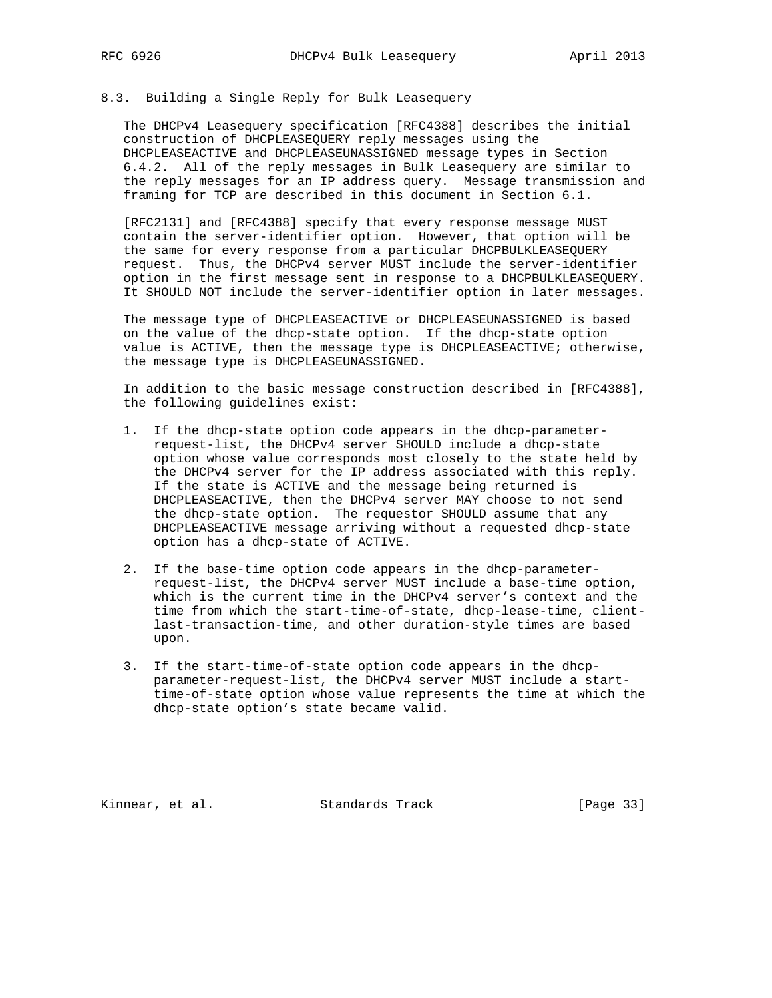## 8.3. Building a Single Reply for Bulk Leasequery

 The DHCPv4 Leasequery specification [RFC4388] describes the initial construction of DHCPLEASEQUERY reply messages using the DHCPLEASEACTIVE and DHCPLEASEUNASSIGNED message types in Section 6.4.2. All of the reply messages in Bulk Leasequery are similar to the reply messages for an IP address query. Message transmission and framing for TCP are described in this document in Section 6.1.

 [RFC2131] and [RFC4388] specify that every response message MUST contain the server-identifier option. However, that option will be the same for every response from a particular DHCPBULKLEASEQUERY request. Thus, the DHCPv4 server MUST include the server-identifier option in the first message sent in response to a DHCPBULKLEASEQUERY. It SHOULD NOT include the server-identifier option in later messages.

 The message type of DHCPLEASEACTIVE or DHCPLEASEUNASSIGNED is based on the value of the dhcp-state option. If the dhcp-state option value is ACTIVE, then the message type is DHCPLEASEACTIVE; otherwise, the message type is DHCPLEASEUNASSIGNED.

 In addition to the basic message construction described in [RFC4388], the following guidelines exist:

- 1. If the dhcp-state option code appears in the dhcp-parameter request-list, the DHCPv4 server SHOULD include a dhcp-state option whose value corresponds most closely to the state held by the DHCPv4 server for the IP address associated with this reply. If the state is ACTIVE and the message being returned is DHCPLEASEACTIVE, then the DHCPv4 server MAY choose to not send the dhcp-state option. The requestor SHOULD assume that any DHCPLEASEACTIVE message arriving without a requested dhcp-state option has a dhcp-state of ACTIVE.
- 2. If the base-time option code appears in the dhcp-parameter request-list, the DHCPv4 server MUST include a base-time option, which is the current time in the DHCPv4 server's context and the time from which the start-time-of-state, dhcp-lease-time, client last-transaction-time, and other duration-style times are based upon.
- 3. If the start-time-of-state option code appears in the dhcp parameter-request-list, the DHCPv4 server MUST include a start time-of-state option whose value represents the time at which the dhcp-state option's state became valid.

Kinnear, et al. Standards Track [Page 33]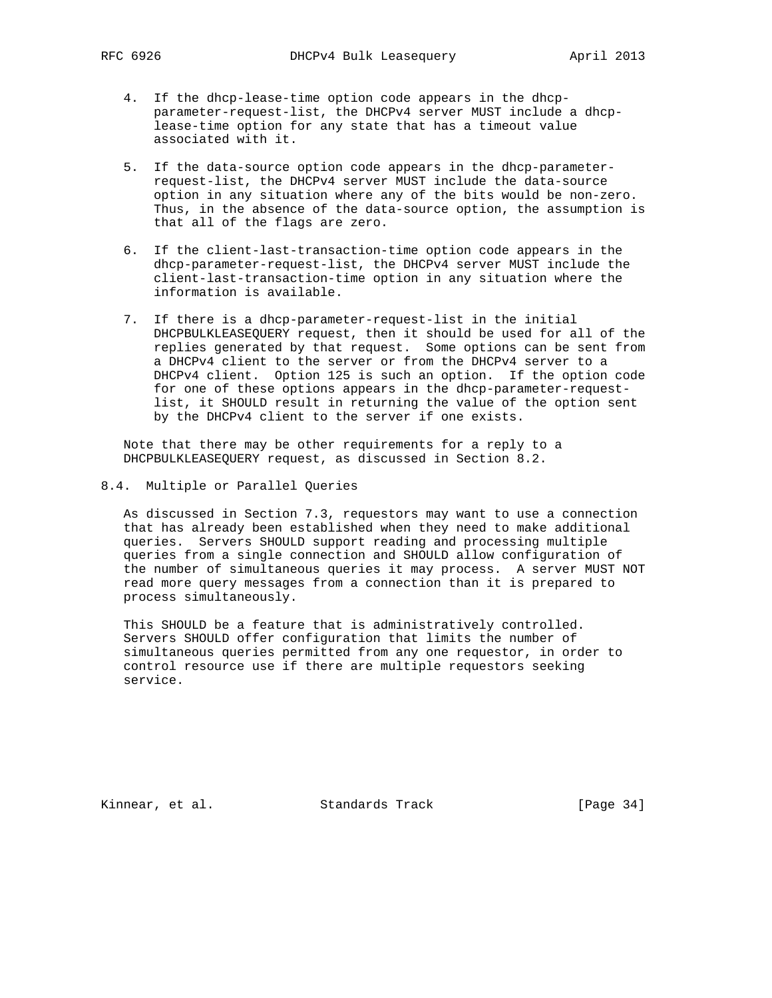- 4. If the dhcp-lease-time option code appears in the dhcp parameter-request-list, the DHCPv4 server MUST include a dhcp lease-time option for any state that has a timeout value associated with it.
- 5. If the data-source option code appears in the dhcp-parameter request-list, the DHCPv4 server MUST include the data-source option in any situation where any of the bits would be non-zero. Thus, in the absence of the data-source option, the assumption is that all of the flags are zero.
- 6. If the client-last-transaction-time option code appears in the dhcp-parameter-request-list, the DHCPv4 server MUST include the client-last-transaction-time option in any situation where the information is available.
- 7. If there is a dhcp-parameter-request-list in the initial DHCPBULKLEASEQUERY request, then it should be used for all of the replies generated by that request. Some options can be sent from a DHCPv4 client to the server or from the DHCPv4 server to a DHCPv4 client. Option 125 is such an option. If the option code for one of these options appears in the dhcp-parameter-request list, it SHOULD result in returning the value of the option sent by the DHCPv4 client to the server if one exists.

 Note that there may be other requirements for a reply to a DHCPBULKLEASEQUERY request, as discussed in Section 8.2.

8.4. Multiple or Parallel Queries

 As discussed in Section 7.3, requestors may want to use a connection that has already been established when they need to make additional queries. Servers SHOULD support reading and processing multiple queries from a single connection and SHOULD allow configuration of the number of simultaneous queries it may process. A server MUST NOT read more query messages from a connection than it is prepared to process simultaneously.

 This SHOULD be a feature that is administratively controlled. Servers SHOULD offer configuration that limits the number of simultaneous queries permitted from any one requestor, in order to control resource use if there are multiple requestors seeking service.

Kinnear, et al. Standards Track [Page 34]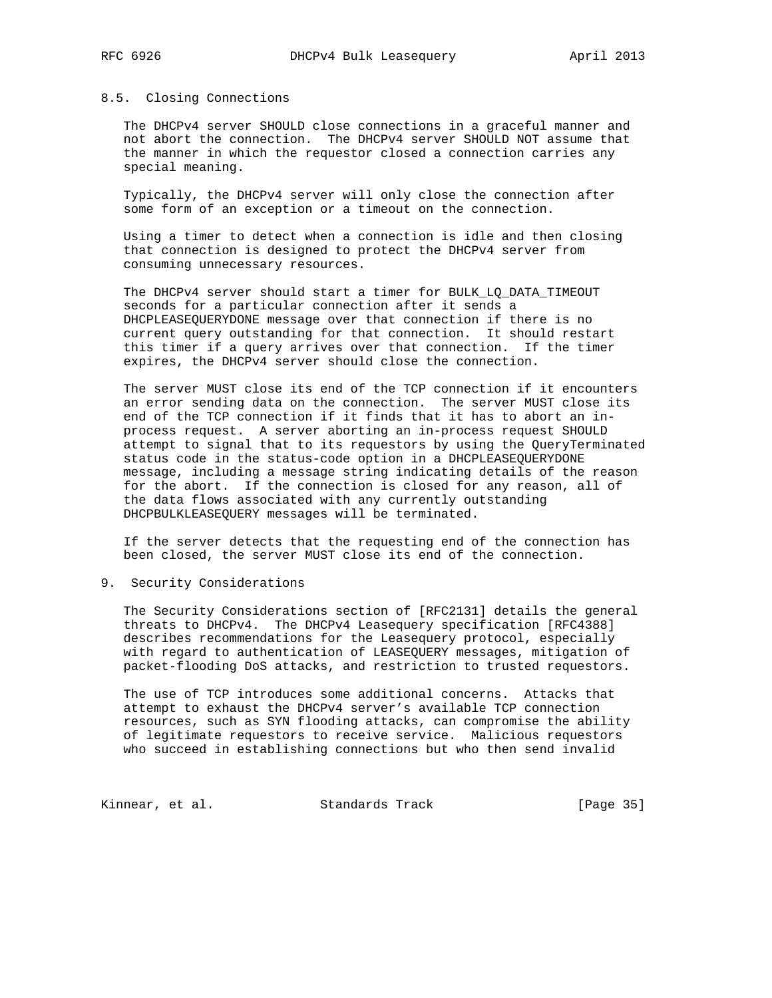#### 8.5. Closing Connections

 The DHCPv4 server SHOULD close connections in a graceful manner and not abort the connection. The DHCPv4 server SHOULD NOT assume that the manner in which the requestor closed a connection carries any special meaning.

 Typically, the DHCPv4 server will only close the connection after some form of an exception or a timeout on the connection.

 Using a timer to detect when a connection is idle and then closing that connection is designed to protect the DHCPv4 server from consuming unnecessary resources.

 The DHCPv4 server should start a timer for BULK\_LQ\_DATA\_TIMEOUT seconds for a particular connection after it sends a DHCPLEASEQUERYDONE message over that connection if there is no current query outstanding for that connection. It should restart this timer if a query arrives over that connection. If the timer expires, the DHCPv4 server should close the connection.

 The server MUST close its end of the TCP connection if it encounters an error sending data on the connection. The server MUST close its end of the TCP connection if it finds that it has to abort an in process request. A server aborting an in-process request SHOULD attempt to signal that to its requestors by using the QueryTerminated status code in the status-code option in a DHCPLEASEQUERYDONE message, including a message string indicating details of the reason for the abort. If the connection is closed for any reason, all of the data flows associated with any currently outstanding DHCPBULKLEASEQUERY messages will be terminated.

 If the server detects that the requesting end of the connection has been closed, the server MUST close its end of the connection.

9. Security Considerations

 The Security Considerations section of [RFC2131] details the general threats to DHCPv4. The DHCPv4 Leasequery specification [RFC4388] describes recommendations for the Leasequery protocol, especially with regard to authentication of LEASEQUERY messages, mitigation of packet-flooding DoS attacks, and restriction to trusted requestors.

 The use of TCP introduces some additional concerns. Attacks that attempt to exhaust the DHCPv4 server's available TCP connection resources, such as SYN flooding attacks, can compromise the ability of legitimate requestors to receive service. Malicious requestors who succeed in establishing connections but who then send invalid

Kinnear, et al. Standards Track [Page 35]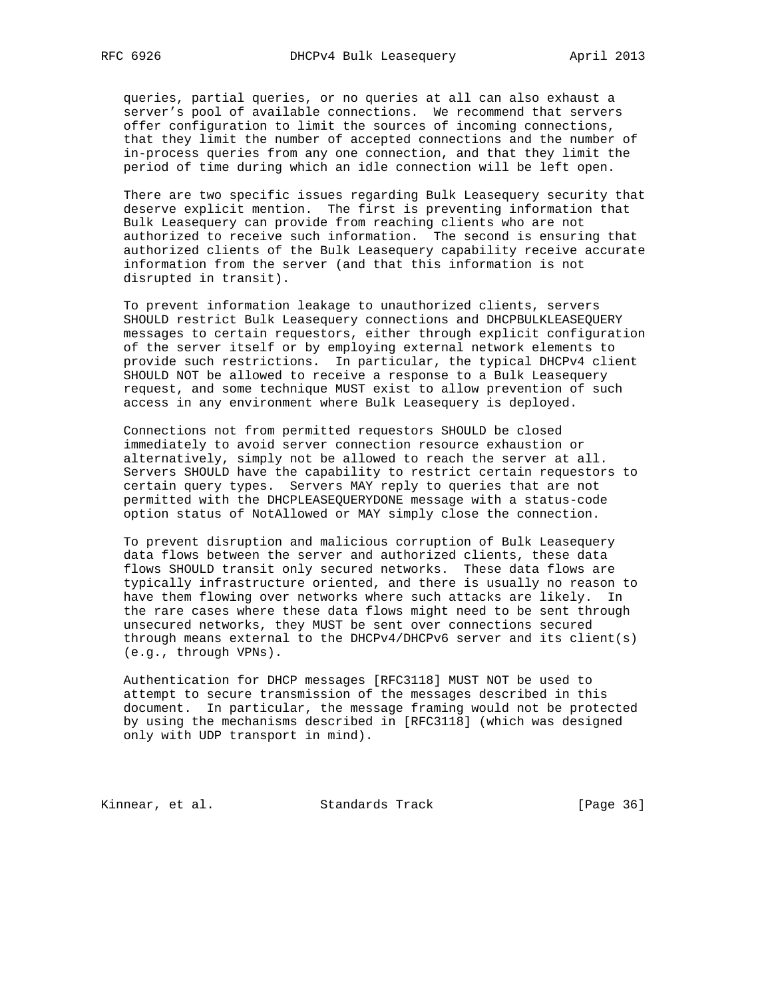queries, partial queries, or no queries at all can also exhaust a server's pool of available connections. We recommend that servers offer configuration to limit the sources of incoming connections, that they limit the number of accepted connections and the number of in-process queries from any one connection, and that they limit the period of time during which an idle connection will be left open.

 There are two specific issues regarding Bulk Leasequery security that deserve explicit mention. The first is preventing information that Bulk Leasequery can provide from reaching clients who are not authorized to receive such information. The second is ensuring that authorized clients of the Bulk Leasequery capability receive accurate information from the server (and that this information is not disrupted in transit).

 To prevent information leakage to unauthorized clients, servers SHOULD restrict Bulk Leasequery connections and DHCPBULKLEASEQUERY messages to certain requestors, either through explicit configuration of the server itself or by employing external network elements to provide such restrictions. In particular, the typical DHCPv4 client SHOULD NOT be allowed to receive a response to a Bulk Leasequery request, and some technique MUST exist to allow prevention of such access in any environment where Bulk Leasequery is deployed.

 Connections not from permitted requestors SHOULD be closed immediately to avoid server connection resource exhaustion or alternatively, simply not be allowed to reach the server at all. Servers SHOULD have the capability to restrict certain requestors to certain query types. Servers MAY reply to queries that are not permitted with the DHCPLEASEQUERYDONE message with a status-code option status of NotAllowed or MAY simply close the connection.

 To prevent disruption and malicious corruption of Bulk Leasequery data flows between the server and authorized clients, these data flows SHOULD transit only secured networks. These data flows are typically infrastructure oriented, and there is usually no reason to have them flowing over networks where such attacks are likely. In the rare cases where these data flows might need to be sent through unsecured networks, they MUST be sent over connections secured through means external to the DHCPv4/DHCPv6 server and its client(s) (e.g., through VPNs).

 Authentication for DHCP messages [RFC3118] MUST NOT be used to attempt to secure transmission of the messages described in this document. In particular, the message framing would not be protected by using the mechanisms described in [RFC3118] (which was designed only with UDP transport in mind).

Kinnear, et al. Standards Track [Page 36]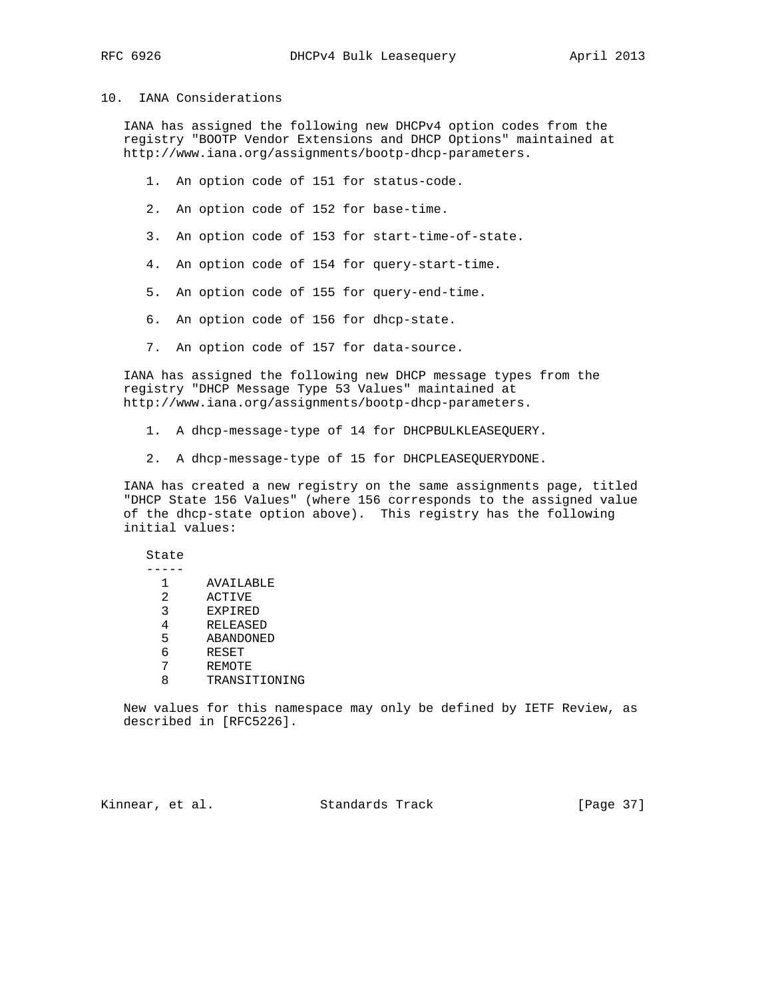## 10. IANA Considerations

 IANA has assigned the following new DHCPv4 option codes from the registry "BOOTP Vendor Extensions and DHCP Options" maintained at http://www.iana.org/assignments/bootp-dhcp-parameters.

- 1. An option code of 151 for status-code.
- 2. An option code of 152 for base-time.
- 3. An option code of 153 for start-time-of-state.
- 4. An option code of 154 for query-start-time.
- 5. An option code of 155 for query-end-time.
- 6. An option code of 156 for dhcp-state.
- 7. An option code of 157 for data-source.

 IANA has assigned the following new DHCP message types from the registry "DHCP Message Type 53 Values" maintained at http://www.iana.org/assignments/bootp-dhcp-parameters.

- 1. A dhcp-message-type of 14 for DHCPBULKLEASEQUERY.
- 2. A dhcp-message-type of 15 for DHCPLEASEQUERYDONE.

 IANA has created a new registry on the same assignments page, titled "DHCP State 156 Values" (where 156 corresponds to the assigned value of the dhcp-state option above). This registry has the following initial values:

## State

| 1 | AVAILABLE     |
|---|---------------|
| 2 | ACTIVE        |
| 3 | EXPIRED       |
|   | RELEASED      |
| 5 | ABANDONED     |
|   | RESET         |
| 7 | REMOTE        |
|   | TRANSITIONING |

 New values for this namespace may only be defined by IETF Review, as described in [RFC5226].

Kinnear, et al. Standards Track [Page 37]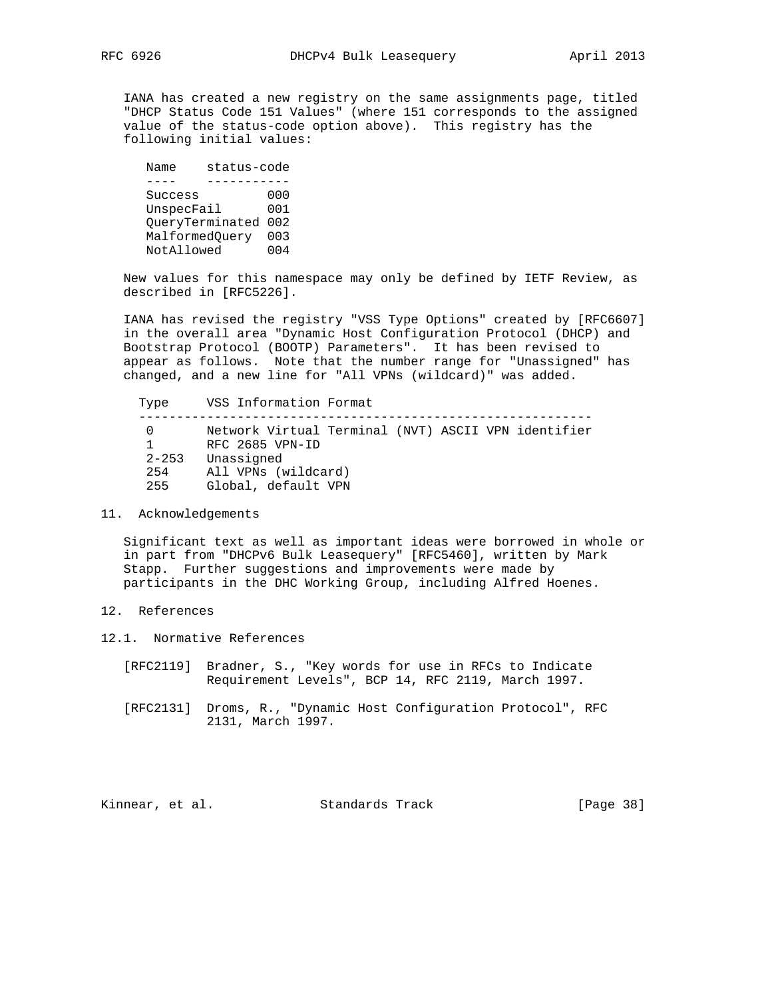IANA has created a new registry on the same assignments page, titled "DHCP Status Code 151 Values" (where 151 corresponds to the assigned value of the status-code option above). This registry has the following initial values:

```
Name status-code<br>---- ----------
            ---- -----------
Success 000
UnspecFail 001
     QueryTerminated 002
     MalformedQuery 003
     NotAllowed 004
```
 New values for this namespace may only be defined by IETF Review, as described in [RFC5226].

 IANA has revised the registry "VSS Type Options" created by [RFC6607] in the overall area "Dynamic Host Configuration Protocol (DHCP) and Bootstrap Protocol (BOOTP) Parameters". It has been revised to appear as follows. Note that the number range for "Unassigned" has changed, and a new line for "All VPNs (wildcard)" was added.

 Type VSS Information Format ------------------------------------------------------------ 0 Network Virtual Terminal (NVT) ASCII VPN identifier 1 RFC 2685 VPN-ID 2-253 Unassigned 254 All VPNs (wildcard) 255 Global, default VPN

#### 11. Acknowledgements

 Significant text as well as important ideas were borrowed in whole or in part from "DHCPv6 Bulk Leasequery" [RFC5460], written by Mark Stapp. Further suggestions and improvements were made by participants in the DHC Working Group, including Alfred Hoenes.

- 12. References
- 12.1. Normative References
	- [RFC2119] Bradner, S., "Key words for use in RFCs to Indicate Requirement Levels", BCP 14, RFC 2119, March 1997.
	- [RFC2131] Droms, R., "Dynamic Host Configuration Protocol", RFC 2131, March 1997.

Kinnear, et al. Standards Track [Page 38]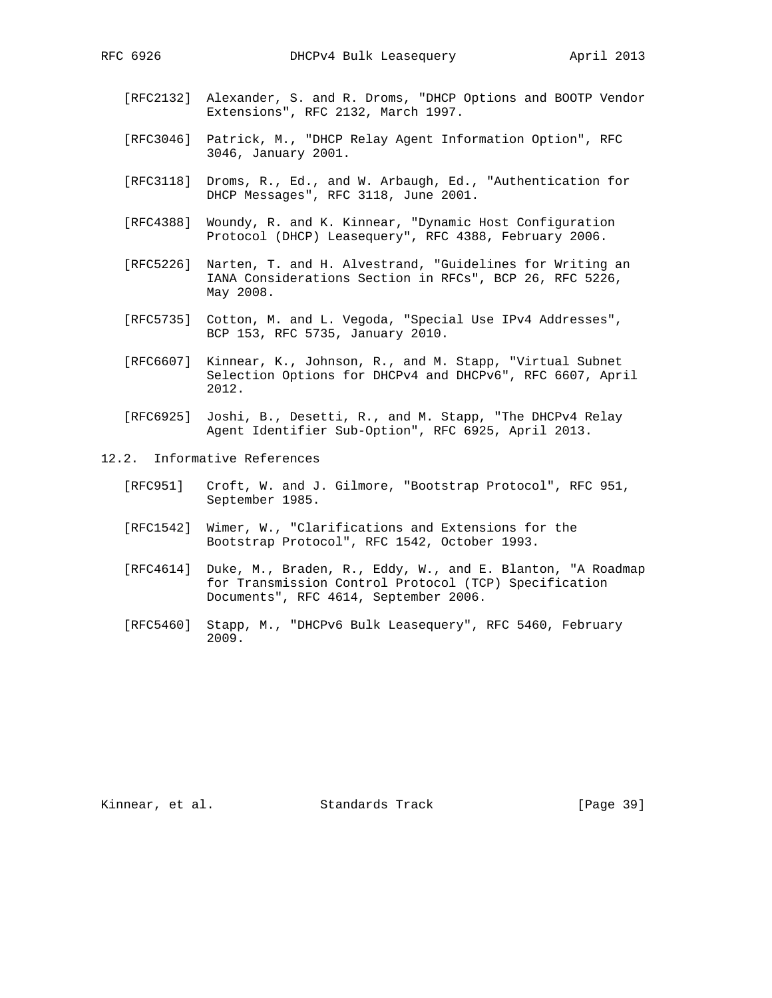- [RFC2132] Alexander, S. and R. Droms, "DHCP Options and BOOTP Vendor Extensions", RFC 2132, March 1997.
- [RFC3046] Patrick, M., "DHCP Relay Agent Information Option", RFC 3046, January 2001.
- [RFC3118] Droms, R., Ed., and W. Arbaugh, Ed., "Authentication for DHCP Messages", RFC 3118, June 2001.
- [RFC4388] Woundy, R. and K. Kinnear, "Dynamic Host Configuration Protocol (DHCP) Leasequery", RFC 4388, February 2006.
- [RFC5226] Narten, T. and H. Alvestrand, "Guidelines for Writing an IANA Considerations Section in RFCs", BCP 26, RFC 5226, May 2008.
- [RFC5735] Cotton, M. and L. Vegoda, "Special Use IPv4 Addresses", BCP 153, RFC 5735, January 2010.
- [RFC6607] Kinnear, K., Johnson, R., and M. Stapp, "Virtual Subnet Selection Options for DHCPv4 and DHCPv6", RFC 6607, April 2012.
- [RFC6925] Joshi, B., Desetti, R., and M. Stapp, "The DHCPv4 Relay Agent Identifier Sub-Option", RFC 6925, April 2013.
- 12.2. Informative References
	- [RFC951] Croft, W. and J. Gilmore, "Bootstrap Protocol", RFC 951, September 1985.
	- [RFC1542] Wimer, W., "Clarifications and Extensions for the Bootstrap Protocol", RFC 1542, October 1993.
	- [RFC4614] Duke, M., Braden, R., Eddy, W., and E. Blanton, "A Roadmap for Transmission Control Protocol (TCP) Specification Documents", RFC 4614, September 2006.
	- [RFC5460] Stapp, M., "DHCPv6 Bulk Leasequery", RFC 5460, February 2009.

Kinnear, et al. Standards Track [Page 39]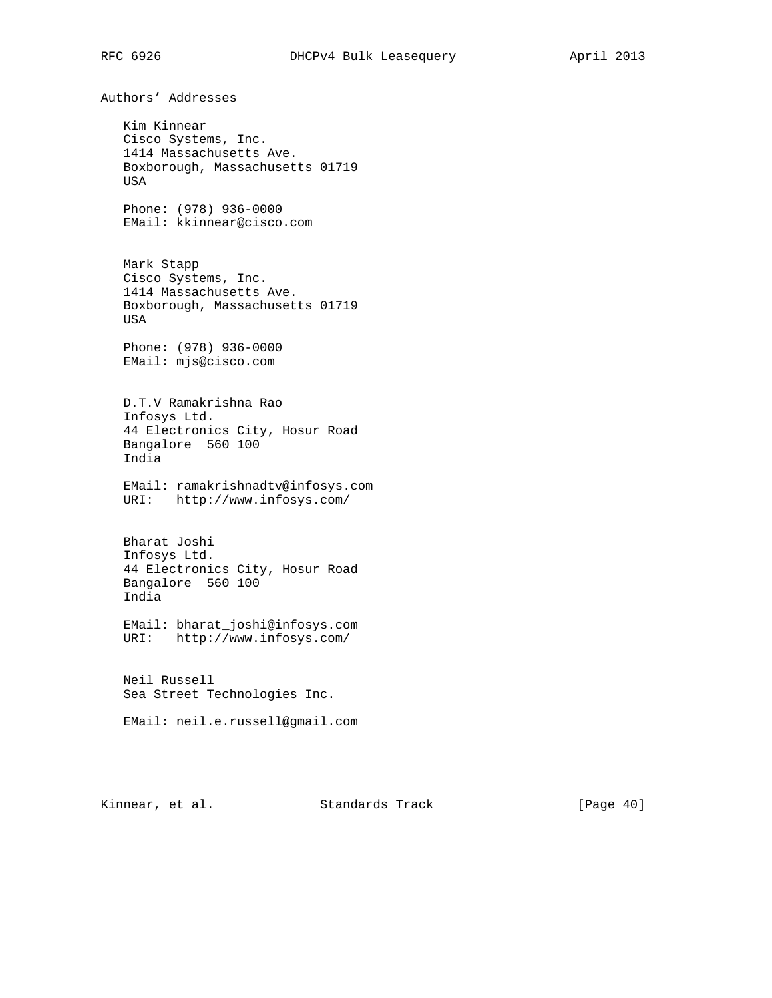Authors' Addresses Kim Kinnear Cisco Systems, Inc. 1414 Massachusetts Ave. Boxborough, Massachusetts 01719 USA Phone: (978) 936-0000 EMail: kkinnear@cisco.com Mark Stapp Cisco Systems, Inc. 1414 Massachusetts Ave. Boxborough, Massachusetts 01719 USA Phone: (978) 936-0000 EMail: mjs@cisco.com D.T.V Ramakrishna Rao Infosys Ltd. 44 Electronics City, Hosur Road Bangalore 560 100 India EMail: ramakrishnadtv@infosys.com URI: http://www.infosys.com/ Bharat Joshi Infosys Ltd. 44 Electronics City, Hosur Road Bangalore 560 100 India EMail: bharat\_joshi@infosys.com URI: http://www.infosys.com/ Neil Russell Sea Street Technologies Inc. EMail: neil.e.russell@gmail.com

Kinnear, et al. Standards Track [Page 40]